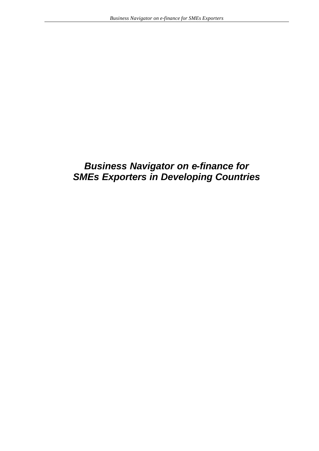## *Business Navigator on e-finance for SMEs Exporters in Developing Countries*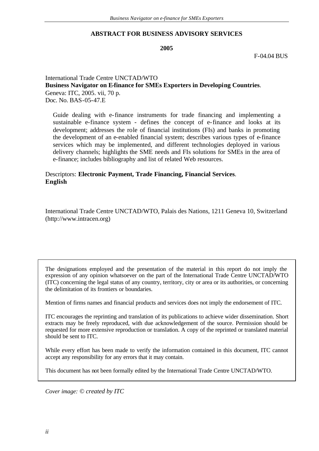#### **ABSTRACT FOR BUSINESS ADVISORY SERVICES**

**2005**

F-04.04 BUS

#### International Trade Centre UNCTAD/WTO **Business Navigator on E-finance for SMEs Exporters in Developing Countries**. Geneva: ITC, 2005. vii, 70 p. Doc. No. BAS-05-47.E

Guide dealing with e-finance instruments for trade financing and implementing a sustainable e-finance system - defines the concept of e-finance and looks at its development; addresses the role of financial institutions (FIs) and banks in promoting the development of an e-enabled financial system; describes various types of e-finance services which may be implemented, and different technologies deployed in various delivery channels; highlights the SME needs and FIs solutions for SMEs in the area of e-finance; includes bibliography and list of related Web resources.

#### Descriptors: **Electronic Payment, Trade Financing, Financial Services**. **English**

International Trade Centre UNCTAD/WTO, Palais des Nations, 1211 Geneva 10, Switzerland (http://www.intracen.org)

The designations employed and the presentation of the material in this report do not imply the expression of any opinion whatsoever on the part of the International Trade Centre UNCTAD/WTO (ITC) concerning the legal status of any country, territory, city or area or its authorities, or concerning the delimitation of its frontiers or boundaries.

Mention of firms names and financial products and services does not imply the endorsement of ITC.

ITC encourages the reprinting and translation of its publications to achieve wider dissemination. Short extracts may be freely reproduced, with due acknowledgement of the source. Permission should be requested for more extensive reproduction or translation. A copy of the reprinted or translated material should be sent to ITC.

While every effort has been made to verify the information contained in this document, ITC cannot accept any responsibility for any errors that it may contain.

This document has not been formally edited by the International Trade Centre UNCTAD/WTO.

*Cover image: © created by ITC*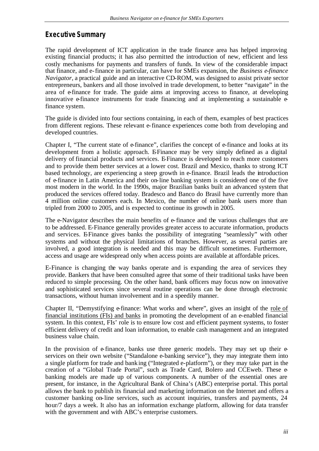## **Executive Summary**

The rapid development of ICT application in the trade finance area has helped improving existing financial products; it has also permitted the introduction of new, efficient and less costly mechanisms for payments and transfers of funds. In view of the considerable impact that finance, and e-finance in particular, can have for SMEs expansion, the *Business e-finance Navigator*, a practical guide and an interactive CD-ROM, was designed to assist private sector entrepreneurs, bankers and all those involved in trade development, to better "navigate" in the area of e-finance for trade. The guide aims at improving access to finance, at developing innovative e-finance instruments for trade financing and at implementing a sustainable  $\varphi$ finance system.

The guide is divided into four sections containing, in each of them, examples of best practices from different regions. These relevant e-finance experiences come both from developing and developed countries.

Chapter I, "The current state of e-finance", clarifies the concept of e-finance and looks at its development from a holistic approach. E-Finance may be very simply defined as a digital delivery of financial products and services. E-Finance is developed to reach more customers and to provide them better services at a lower cost. Brazil and Mexico, thanks to strong ICT based technology, are experiencing a steep growth in e-finance. Brazil leads the introduction of e-finance in Latin America and their on-line banking system is considered one of the five most modern in the world. In the 1990s, major Brazilian banks built an advanced system that produced the services offered today. Bradesco and Banco do Brasil have currently more than 4 million online customers each. In Mexico, the number of online bank users more than tripled from 2000 to 2005, and is expected to continue its growth in 2005.

The e-Navigator describes the main benefits of e-finance and the various challenges that are to be addressed. E-Finance generally provides greater access to accurate information, products and services. E-Finance gives banks the possibility of integrating "seamlessly" with other systems and without the physical limitations of branches. However, as several parties are involved, a good integration is needed and this may be difficult sometimes. Furthermore, access and usage are widespread only when access points are available at affordable prices.

E-Finance is changing the way banks operate and is expanding the area of services they provide. Bankers that have been consulted agree that some of their traditional tasks have been reduced to simple processing. On the other hand, bank officers may focus now on innovative and sophisticated services since several routine operations can be done through electronic transactions, without human involvement and in a speedily manner.

Chapter II, "Demystifying e-finance: What works and where", gives an insight of the role of financial institutions (FIs) and banks in promoting the development of an e-enabled financial system. In this context, FIs' role is to ensure low cost and efficient payment systems, to foster efficient delivery of credit and loan information, to enable cash management and an integrated business value chain.

In the provision of  $e$ -finance, banks use three generic models. They may set up their  $e$ services on their own website ("Standalone e-banking service"), they may integrate them into a single platform for trade and banking ("Integrated e-platform"), or they may take part in the creation of a "Global Trade Portal", such as Trade Card, Bolero and CCEweb. These ebanking models are made up of various components. A number of the essential ones are present, for instance, in the Agricultural Bank of China's (ABC) enterprise portal. This portal allows the bank to publish its financial and marketing information on the Internet and offers a customer banking on-line services, such as account inquiries, transfers and payments, 24 hour/7 days a week. It also has an information exchange platform, allowing for data transfer with the government and with ABC's enterprise customers.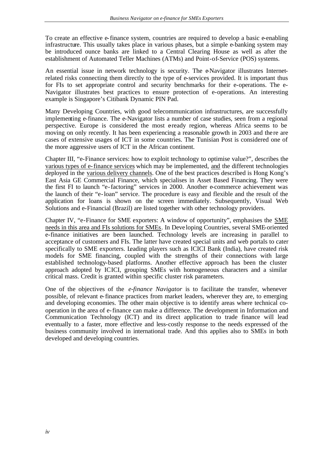To create an effective e-finance system, countries are required to develop a basic e-enabling infrastructure. This usually takes place in various phases, but a simple e-banking system may be introduced ounce banks are linked to a Central Clearing House as well as after the establishment of Automated Teller Machines (ATMs) and Point-of-Service (POS) systems.

An essential issue in network technology is security. The e-Navigator illustrates Internetrelated risks connecting them directly to the type of e-services provided. It is important thus for FIs to set appropriate control and security benchmarks for their e-operations. The e-Navigator illustrates best practices to ensure protection of e-operations. An interesting example is Singapore's Citibank Dynamic PIN Pad.

Many Developing Countries, with good telecommunication infrastructures, are successfully implementing e-finance. The e-Navigator lists a number of case studies, seen from a regional perspective. Europe is considered the most e-ready region, whereas Africa seems to be moving on only recently. It has been experiencing a reasonable growth in 2003 and the re are cases of extensive usages of ICT in some countries. The Tunisian Post is considered one of the more aggressive users of ICT in the African continent.

Chapter III, "e-Finance services: how to exploit technology to optimise value?", describes the various types of e-finance services which may be implemented, and the different technologies deployed in the various delivery channels. One of the best practices described is Hong Kong's East Asia GE Commercial Finance, which specialises in Asset Based Financing. They were the first FI to launch "e-factoring" services in 2000. Another e-commerce achievement was the launch of their "e-loan" service. The procedure is easy and flexible and the result of the application for loans is shown on the screen immediately. Subsequently, Visual Web Solutions and e-Financial (Brazil) are listed together with other technology providers.

Chapter IV, "e-Finance for SME exporters: A window of opportunity", emphasises the SME needs in this area and FIs solutions for SMEs. In Deve loping Countries, several SME-oriented e-finance initiatives are been launched. Technology levels are increasing in parallel to acceptance of customers and FIs. The latter have created special units and web portals to cater specifically to SME exporters. Leading players such as ICICI Bank (India), have created risk models for SME financing, coupled with the strengths of their connections with large established technology-based platforms. Another effective approach has been the cluster approach adopted by ICICI, grouping SMEs with homogeneous characters and a similar critical mass. Credit is granted within specific cluster risk parameters.

One of the objectives of the *e-finance Navigator* is to facilitate the transfer, whenever possible, of relevant e-finance practices from market leaders, wherever they are, to emerging and developing economies. The other main objective is to identify areas where technical cooperation in the area of e-finance can make a difference. The development in Information and Communication Technology (ICT) and its direct application to trade finance will lead eventually to a faster, more effective and less-costly response to the needs expressed of the business community involved in international trade. And this applies also to SMEs in both developed and developing countries.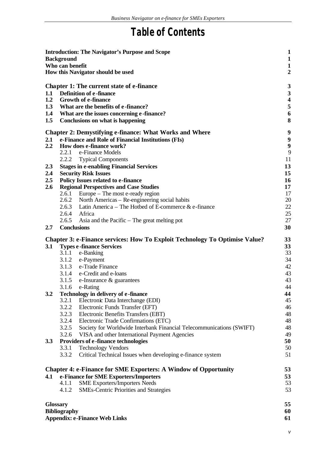# **Table of Contents**

| <b>Introduction: The Navigator's Purpose and Scope</b><br><b>Background</b><br>Who can benefit<br>How this Navigator should be used<br><b>Chapter 1: The current state of e-finance</b><br><b>Definition of e-finance</b><br>1.1<br>1.2<br><b>Growth of e-finance</b><br>What are the benefits of e-finance?<br>1.3<br>1.4<br>What are the issues concerning e-finance? |                                                                                        |                                                                                    |          |  |  |
|-------------------------------------------------------------------------------------------------------------------------------------------------------------------------------------------------------------------------------------------------------------------------------------------------------------------------------------------------------------------------|----------------------------------------------------------------------------------------|------------------------------------------------------------------------------------|----------|--|--|
|                                                                                                                                                                                                                                                                                                                                                                         |                                                                                        |                                                                                    |          |  |  |
|                                                                                                                                                                                                                                                                                                                                                                         |                                                                                        | <b>Chapter 2: Demystifying e-finance: What Works and Where</b>                     | 9        |  |  |
| 2.1                                                                                                                                                                                                                                                                                                                                                                     |                                                                                        | e-Finance and Role of Financial Institutions (FIs)                                 | 9        |  |  |
| 2.2                                                                                                                                                                                                                                                                                                                                                                     |                                                                                        | How does e-finance work?                                                           | 9        |  |  |
|                                                                                                                                                                                                                                                                                                                                                                         | 2.2.1                                                                                  | e-Finance Models                                                                   | 9        |  |  |
|                                                                                                                                                                                                                                                                                                                                                                         | 2.2.2                                                                                  | <b>Typical Components</b>                                                          | 11       |  |  |
| 2.3                                                                                                                                                                                                                                                                                                                                                                     |                                                                                        | <b>Stages in e-enabling Financial Services</b>                                     | 13       |  |  |
| 2.4<br>2.5                                                                                                                                                                                                                                                                                                                                                              |                                                                                        | <b>Security Risk Issues</b><br><b>Policy Issues related to e-finance</b>           | 15<br>16 |  |  |
| 2.6                                                                                                                                                                                                                                                                                                                                                                     |                                                                                        | <b>Regional Perspectives and Case Studies</b>                                      | 17       |  |  |
|                                                                                                                                                                                                                                                                                                                                                                         | 2.6.1                                                                                  | Europe – The most e-ready region                                                   | 17       |  |  |
|                                                                                                                                                                                                                                                                                                                                                                         |                                                                                        | 2.6.2 North Americas – Re-engineering social habits                                | 20       |  |  |
|                                                                                                                                                                                                                                                                                                                                                                         | 2.6.3                                                                                  | Latin America – The Hotbed of E-commerce $\&$ e-finance                            | 22       |  |  |
|                                                                                                                                                                                                                                                                                                                                                                         | 2.6.4                                                                                  | Africa                                                                             | 25       |  |  |
|                                                                                                                                                                                                                                                                                                                                                                         | 2.6.5                                                                                  | Asia and the Pacific $-$ The great melting pot                                     | 27       |  |  |
| 2.7                                                                                                                                                                                                                                                                                                                                                                     | <b>Conclusions</b>                                                                     |                                                                                    | 30       |  |  |
|                                                                                                                                                                                                                                                                                                                                                                         |                                                                                        |                                                                                    |          |  |  |
|                                                                                                                                                                                                                                                                                                                                                                         |                                                                                        | <b>Chapter 3: e-Finance services: How To Exploit Technology To Optimise Value?</b> | 33       |  |  |
| 3.1                                                                                                                                                                                                                                                                                                                                                                     | 3.1.1                                                                                  | <b>Types e-finance Services</b>                                                    | 33<br>33 |  |  |
|                                                                                                                                                                                                                                                                                                                                                                         |                                                                                        | e-Banking<br>3.1.2 e-Payment                                                       | 34       |  |  |
|                                                                                                                                                                                                                                                                                                                                                                         |                                                                                        | 3.1.3 e-Trade Finance                                                              | 42       |  |  |
|                                                                                                                                                                                                                                                                                                                                                                         |                                                                                        | 3.1.4 e-Credit and e-loans                                                         | 43       |  |  |
|                                                                                                                                                                                                                                                                                                                                                                         | 3.1.5                                                                                  | e-Insurance & guarantees                                                           | 43       |  |  |
|                                                                                                                                                                                                                                                                                                                                                                         | 3.1.6                                                                                  | e-Rating                                                                           | 44       |  |  |
| 3.2                                                                                                                                                                                                                                                                                                                                                                     | Technology in delivery of e-finance                                                    |                                                                                    |          |  |  |
|                                                                                                                                                                                                                                                                                                                                                                         | 3.2.1                                                                                  | Electronic Data Interchange (EDI)                                                  | 44<br>45 |  |  |
|                                                                                                                                                                                                                                                                                                                                                                         | 3.2.2                                                                                  | Electronic Funds Transfer (EFT)                                                    | 46       |  |  |
|                                                                                                                                                                                                                                                                                                                                                                         | 3.2.3                                                                                  | Electronic Benefits Transfers (EBT)                                                | 48       |  |  |
|                                                                                                                                                                                                                                                                                                                                                                         | 3.2.4                                                                                  | Electronic Trade Confirmations (ETC)                                               | 48       |  |  |
|                                                                                                                                                                                                                                                                                                                                                                         | 3.2.5                                                                                  | Society for Worldwide Interbank Financial Telecommunications (SWIFT)               | 48<br>49 |  |  |
|                                                                                                                                                                                                                                                                                                                                                                         | 3.2.6<br>VISA and other International Payment Agencies                                 |                                                                                    |          |  |  |
| 3.3                                                                                                                                                                                                                                                                                                                                                                     |                                                                                        | <b>Providers of e-finance technologies</b>                                         | 50       |  |  |
|                                                                                                                                                                                                                                                                                                                                                                         | 3.3.1                                                                                  | <b>Technology Vendors</b>                                                          | 50       |  |  |
|                                                                                                                                                                                                                                                                                                                                                                         | 3.3.2                                                                                  | Critical Technical Issues when developing e-finance system                         | 51       |  |  |
|                                                                                                                                                                                                                                                                                                                                                                         |                                                                                        |                                                                                    |          |  |  |
|                                                                                                                                                                                                                                                                                                                                                                         |                                                                                        | <b>Chapter 4: e-Finance for SME Exporters: A Window of Opportunity</b>             | 53<br>53 |  |  |
| 4.1                                                                                                                                                                                                                                                                                                                                                                     | e-Finance for SME Exporters/Importers<br>4.1.1<br><b>SME Exporters/Importers Needs</b> |                                                                                    |          |  |  |
|                                                                                                                                                                                                                                                                                                                                                                         | 4.1.2                                                                                  | <b>SMEs-Centric Priorities and Strategies</b>                                      | 53<br>53 |  |  |
|                                                                                                                                                                                                                                                                                                                                                                         |                                                                                        |                                                                                    |          |  |  |
| <b>Glossary</b>                                                                                                                                                                                                                                                                                                                                                         |                                                                                        |                                                                                    | 55       |  |  |
|                                                                                                                                                                                                                                                                                                                                                                         | <b>Bibliography</b>                                                                    |                                                                                    | 60       |  |  |
|                                                                                                                                                                                                                                                                                                                                                                         |                                                                                        | <b>Appendix: e-Finance Web Links</b>                                               | 61       |  |  |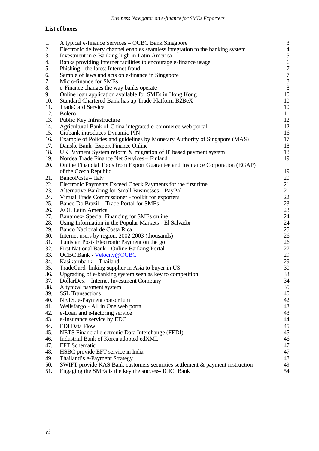### **List of boxes**

| 1.  | A typical e-finance Services – OCBC Bank Singapore                             | 3              |
|-----|--------------------------------------------------------------------------------|----------------|
| 2.  | Electronic delivery channel enables seamless integration to the banking system | $\overline{4}$ |
| 3.  | Investment in e-Banking high in Latin America                                  | 5              |
| 4.  | Banks providing Internet facilities to encourage e-finance usage               | 6              |
| 5.  | Phishing - the latest Internet fraud                                           | $\overline{7}$ |
| 6.  | Sample of laws and acts on e-finance in Singapore                              | $\overline{7}$ |
| 7.  | Micro-finance for SMEs                                                         | 8              |
| 8.  | e-Finance changes the way banks operate                                        | 8              |
| 9.  | Online loan application available for SMEs in Hong Kong                        | 10             |
| 10. | Standard Chartered Bank has up Trade Platform B2BeX                            | 10             |
| 11. | TradeCard Service                                                              | 10             |
| 12. | <b>Bolero</b>                                                                  | 11             |
| 13. | Public Key Infrastructure                                                      | 12             |
| 14. | Agricultural Bank of China integrated e-commerce web portal                    | 12             |
| 15. | Citibank introduces Dynamic PIN                                                | 16             |
| 16. | Example of Policies and guidelines by Monetary Authority of Singapore (MAS)    | 17             |
| 17. | Danske Bank- Export Finance Online                                             | 18             |
| 18. | UK Payment System reform & migration of IP based payment system                | 18             |
| 19. | Nordea Trade Finance Net Services - Finland                                    | 19             |
| 20. | Online Financial Tools from Export Guarantee and Insurance Corporation (EGAP)  |                |
|     | of the Czech Republic                                                          | 19             |
| 21. | BancoPosta - Italy                                                             | 20             |
| 22. | Electronic Payments Exceed Check Payments for the first time                   | 21             |
| 23. | Alternative Banking for Small Businesses - PayPal                              | 21             |
| 24. | Virtual Trade Commissioner - toolkit for exporters                             | 22             |
| 25. | Banco Do Brazil - Trade Portal for SMEs                                        | 23             |
| 26. | <b>AOL Latin America</b>                                                       | 23             |
| 27. | Banamex- Special Financing for SMEs online                                     | 24             |
| 28. | Using Information in the Popular Markets - El Salvador                         | 24             |
| 29. | Banco Nacional de Costa Rica                                                   | 25             |
| 30. | Internet users by region, 2002-2003 (thousands)                                | 26             |
| 31. | Tunisian Post-Electronic Payment on the go                                     | 26             |
| 32. | First National Bank - Online Banking Portal                                    | 27             |
| 33. | <b>OCBC Bank - Velocity@OCBC</b>                                               | 29             |
| 34. | Kasikornbank – Thailand                                                        | 29             |
| 35. | TradeCard- linking supplier in Asia to buyer in US                             | 30             |
| 36. | Upgrading of e-banking system seen as key to competition                       | 33             |
| 37. | DollarDex - Internet Investment Company                                        | 34             |
| 38. | A typical payment system                                                       | 35             |
| 39. | <b>SSL Transactions</b>                                                        | 40             |
| 40. | NETS, e-Payment consortium                                                     | 42             |
| 41. | Wellsfargo - All in One web portal                                             | 43             |
| 42. | e-Loan and e-factoring service                                                 | 43             |
| 43. | e-Insurance service by EDC                                                     | 44             |
| 44. | <b>EDI</b> Data Flow                                                           | 45             |
| 45. | NETS Financial electronic Data Interchange (FEDI)                              | 45             |
| 46. | Industrial Bank of Korea adopted edXML                                         | 46             |
| 47. | <b>EFT</b> Schematic                                                           | 47             |
| 48. | HSBC provide EFT service in India                                              | 47             |
| 49. | Thailand's e-Payment Strategy                                                  | 48             |
| 50. | SWIFT provide KAS Bank customers securities settlement & payment instruction   | 49             |
| 51. | Engaging the SMEs is the key the success- ICICI Bank                           | 54             |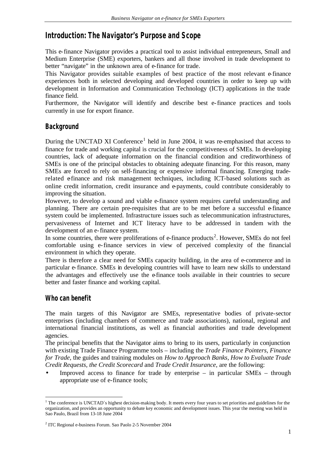## **Introduction: The Navigator's Purpose and Scope**

This e-finance Navigator provides a practical tool to assist individual entrepreneurs, Small and Medium Enterprise (SME) exporters, bankers and all those involved in trade development to better "navigate" in the unknown area of e-finance for trade.

This Navigator provides suitable examples of best practice of the most relevant e-finance experiences both in selected developing and developed countries in order to keep up with development in Information and Communication Technology (ICT) applications in the trade finance field.

Furthermore, the Navigator will identify and describe best e-finance practices and tools currently in use for export finance.

## **Background**

During the UNCTAD XI Conference<sup>1</sup> held in June 2004, it was re-emphasised that access to finance for trade and working capital is crucial for the competitiveness of SMEs. In developing countries, lack of adequate information on the financial condition and creditworthiness of SMEs is one of the principal obstacles to obtaining adequate financing. For this reason, many SMEs are forced to rely on self-financing or expensive informal financing. Emerging traderelated e-finance and risk management techniques, including ICT-based solutions such as online credit information, credit insurance and e-payments, could contribute considerably to improving the situation.

However, to develop a sound and viable e-finance system requires careful understanding and planning. There are certain pre-requisites that are to be met before a successful  $\theta$ -finance system could be implemented. Infrastructure issues such as telecommunication infrastructures, pervasiveness of Internet and ICT literacy have to be addressed in tandem with the development of an e-finance system.

In some countries, there were proliferations of e-finance products<sup>2</sup>. However, SMEs do not feel comfortable using e-finance services in view of perceived complexity of the financial environment in which they operate.

There is therefore a clear need for SMEs capacity building, in the area of e-commerce and in particular e-finance. SMEs in developing countries will have to learn new skills to understand the advantages and effectively use the e-finance tools available in their countries to secure better and faster finance and working capital.

## **Who can benefit**

l

The main targets of this Navigator are SMEs, representative bodies of private-sector enterprises (including chambers of commerce and trade associations), national, regional and international financial institutions, as well as financial authorities and trade development agencies.

The principal benefits that the Navigator aims to bring to its users, particularly in conjunction with existing Trade Finance Programme tools – including the *Trade Finance Pointers, Finance for Trade*, the guides and training modules on *How to Approach Banks, How to Evaluate Trade Credit Requests, the Credit Scorecard* and *Trade Credit Insurance*, are the following:

Improved access to finance for trade by enterprise – in particular  $SMEs$  – through appropriate use of e-finance tools;

<sup>&</sup>lt;sup>1</sup> The conference is UNCTAD's highest decision-making body. It meets every four years to set priorities and guidelines for the organization, and provides an opportunity to debate key economic and development issues. This year the meeting was held in Sao Paulo, Brazil from 13-18 June 2004

<sup>&</sup>lt;sup>2</sup> ITC Regional e-business Forum. Sao Paolo 2-5 November 2004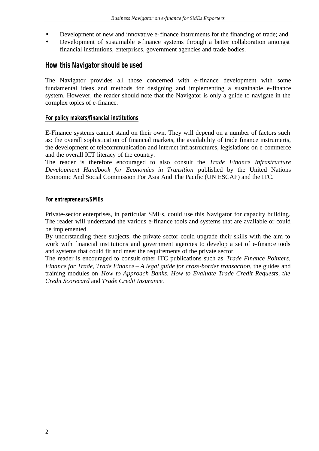- Development of new and innovative e-finance instruments for the financing of trade; and
- Development of sustainable e-finance systems through a better collaboration amongst financial institutions, enterprises, government agencies and trade bodies.

#### **How this Navigator should be used**

The Navigator provides all those concerned with e-finance development with some fundamental ideas and methods for designing and implementing a sustainable e-finance system. However, the reader should note that the Navigator is only a guide to navigate in the complex topics of e-finance.

#### **For policy makers/financial institutions**

E-Finance systems cannot stand on their own. They will depend on a number of factors such as: the overall sophistication of financial markets, the availability of trade finance instruments, the development of telecommunication and internet infrastructures, legislations on e-commerce and the overall ICT literacy of the country.

The reader is therefore encouraged to also consult the *Trade Finance Infrastructure Development Handbook for Economies in Transition* published by the United Nations Economic And Social Commission For Asia And The Pacific (UN ESCAP) and the ITC.

#### **For entrepreneurs/SMEs**

Private-sector enterprises, in particular SMEs, could use this Navigator for capacity building. The reader will understand the various e-finance tools and systems that are available or could be implemented.

By understanding these subjects, the private sector could upgrade their skills with the aim to work with financial institutions and government agencies to develop a set of e-finance tools and systems that could fit and meet the requirements of the private sector.

The reader is encouraged to consult other ITC publications such as *Trade Finance Pointers, Finance for Trade, Trade Finance – A legal guide for cross-border transaction*, the guides and training modules on *How to Approach Banks, How to Evaluate Trade Credit Requests, the Credit Scorecard* and *Trade Credit Insurance.*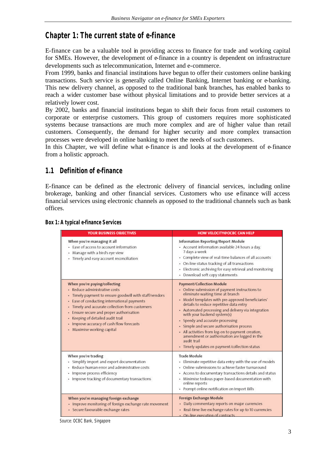## **Chapter 1: The current state of e-finance**

E-finance can be a valuable tool in providing access to finance for trade and working capital for SMEs. However, the development of e-finance in a country is dependent on infrastructure developments such as telecommunication, Internet and e-commerce.

From 1999, banks and financial institutions have begun to offer their customers online banking transactions. Such service is generally called Online Banking, Internet banking or e-banking. This new delivery channel, as opposed to the traditional bank branches, has enabled banks to reach a wider customer base without physical limitations and to provide better services at a relatively lower cost.

By 2002, banks and financial institutions began to shift their focus from retail customers to corporate or enterprise customers. This group of customers requires more sophisticated systems because transactions are much more complex and are of higher value than retail customers. Consequently, the demand for higher security and more complex transaction processes were developed in online banking to meet the needs of such customers.

In this Chapter, we will define what e-finance is and looks at the development of e-finance from a holistic approach.

## **1.1 Definition of e-finance**

E-finance can be defined as the electronic delivery of financial services, including online brokerage, banking and other financial services. Customers who use efinance will access financial services using electronic channels as opposed to the traditional channels such as bank offices.

| <b>YOUR BUSINESS OBJECTIVES</b>                                                                                                                                                                                                                                                                                                                                             | <b>HOW VELOCITY@OCBC CAN HELP</b>                                                                                                                                                                                                                                                                                                                                                                                                                                                                                                                            |
|-----------------------------------------------------------------------------------------------------------------------------------------------------------------------------------------------------------------------------------------------------------------------------------------------------------------------------------------------------------------------------|--------------------------------------------------------------------------------------------------------------------------------------------------------------------------------------------------------------------------------------------------------------------------------------------------------------------------------------------------------------------------------------------------------------------------------------------------------------------------------------------------------------------------------------------------------------|
| When you're managing it all<br>· Ease of access to account information<br>Manage with a bird's eye view<br>Timely and easy account reconciliation                                                                                                                                                                                                                           | Information Reporting/Report Module<br>· Account information available 24 hours a day,<br>7 days a week<br>• Complete view of real-time balances of all accounts<br>• On-line status tracking of all transactions<br>- Electronic archiving for easy retrieval and monitoring<br>· Download soft copy statements                                                                                                                                                                                                                                             |
| When you're paying/collecting<br>Reduce administrative costs<br>Timely payment to ensure goodwill with staff/vendors<br>٠<br>Ease of conducting international payments<br>Timely and accurate collection from customers<br>Ensure secure and proper authorisation<br>Keeping of detailed audit trail<br>Improve accuracy of cash flow forecasts<br>Maximise working capital | Payment/Collection Module<br>• Online submission of payment instructions to<br>eliminate waiting time at branch<br>· Model templates with pre-approved beneficiaries'<br>details to reduce repetitive data entry<br>· Automated processing and delivery via integration<br>with your backend system(s)<br>· Speedy and accurate processing<br>· Simple and secure authorisation process<br>• All activities from log-on to payment creation,<br>amendment or authorisation are logged in the<br>audit trail<br>· Timely updates on payment/collection status |
| When you're trading<br>Simplify import and export documentation<br>٠<br>Reduce human error and administrative costs<br>Improve process efficiency<br>٠<br>Improve tracking of documentary transactions<br>٠                                                                                                                                                                 | <b>Trade Module</b><br>· Eliminate repetitive data entry with the use of models<br>• Online submissions to achieve faster turnaround<br>- Access to documentary transactions details and status<br>· Minimise tedious paper-based documentation with<br>online reports<br>· Prompt online notification on Import Bills                                                                                                                                                                                                                                       |
| When you're managing foreign exchange<br>· Improve monitoring of foreign exchange rate movement<br>· Secure favourable exchange rates                                                                                                                                                                                                                                       | Foreign Exchange Module<br>· Daily commentary reports on major currencies<br>· Real-time live exchange rates for up to 10 currencies<br>· On-line execution of contracts                                                                                                                                                                                                                                                                                                                                                                                     |

#### **Box 1: A typical e-finance Services**

*Source: OCBC Bank, Singapore*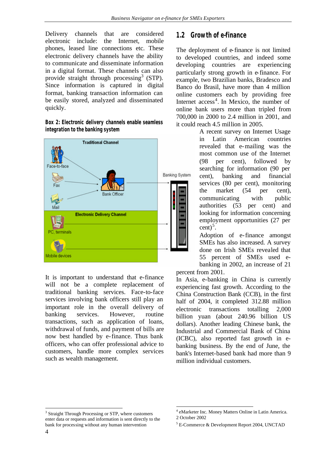Delivery channels that are considered electronic include: the Internet, mobile phones, leased line connections etc. These electronic delivery channels have the ability to communicate and disseminate information in a digital format. These channels can also provide straight through processing<sup>3</sup> (STP). Since information is captured in digital format, banking transaction information can be easily stored, analyzed and disseminated quickly.

**Box 2: Electronic delivery channels enable seamless integration to the banking system**



It is important to understand that e-finance will not be a complete replacement of traditional banking services. Face-to-face services involving bank officers still play an important role in the overall delivery of banking services. However, routine transactions, such as application of loans, withdrawal of funds, and payment of bills are now best handled by e-finance. Thus bank officers, who can offer professional advice to customers, handle more complex services such as wealth management.

## **1.2 Growth of e-finance**

The deployment of e-finance is not limited to developed countries, and indeed some developing countries are experiencing particularly strong growth in e-finance. For example, two Brazilian banks, Bradesco and Banco do Brasil, have more than 4 million online customers each by providing free Internet access<sup>4</sup>. In Mexico, the number of online bank users more than tripled from 700,000 in 2000 to 2.4 million in 2001, and it could reach 4.5 million in 2005.

A recent survey on Internet Usage in Latin American countries revealed that e-mailing was the most common use of the Internet (98 per cent), followed by searching for information (90 per cent), banking and financial services (80 per cent), monitoring the market (54 per cent), communicating with public authorities (53 per cent) and looking for information concerning employment opportunities (27 per  $\text{cent}$ <sup>5</sup>.

Adoption of e-finance amongst SMEs has also increased. A survey done on Irish SMEs revealed that 55 percent of SMEs used ebanking in 2002, an increase of 21

percent from 2001.

l

In Asia, e-banking in China is currently experiencing fast growth. According to the China Construction Bank (CCB), in the first half of 2004, it completed 312.88 million electronic transactions totalling 2,000 billion yuan (about 240.96 billion US dollars). Another leading Chinese bank, the Industrial and Commercial Bank of China (ICBC), also reported fast growth in ebanking business. By the end of June, the bank's Internet-based bank had more than 9 million individual customers.

l

<sup>&</sup>lt;sup>3</sup> Straight Through Processing or STP, where customers enter data or requests and information is sent directly to the bank for processing without any human intervention

<sup>4</sup> eMarketer Inc. Money Matters Online in Latin America. 2 October 2002

<sup>5</sup> E-Commerce & Development Report 2004, UNCTAD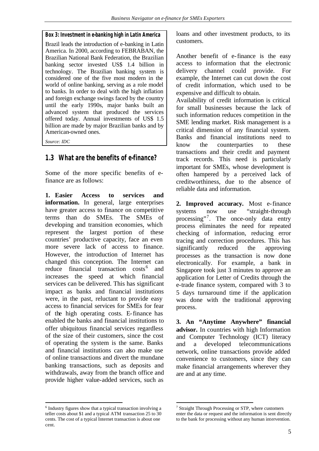#### **Box 3: Investment in e-banking high in Latin America**

Brazil leads the introduction of e-banking in Latin America. In 2000, according to FEBRABAN, the Brazilian National Bank Federation, the Brazilian banking sector invested US\$ 1.4 billion in technology. The Brazilian banking system is considered one of the five most modern in the world of online banking, serving as a role model to banks. In order to deal with the high inflation and foreign exchange swings faced by the country until the early 1990s, major banks built an advanced system that produced the services offered today. Annual investments of US\$ 1.5 billion are made by major Brazilian banks and by American-owned ones.

*Source: IDC*

## **1.3 What are the benefits of e-finance?**

Some of the more specific benefits of efinance are as follows:

**1. Easier Access to services and information.** In general, large enterprises have greater access to finance on competitive terms than do SMEs. The SMEs of developing and transition economies, which represent the largest portion of these countries' productive capacity, face an even more severe lack of access to finance. However, the introduction of Internet has changed this conception. The Internet can reduce financial transaction costs<sup>6</sup> and increases the speed at which financial services can be delivered. This has significant impact as banks and financial institutions were, in the past, reluctant to provide easy access to financial services for SMEs for fear of the high operating costs. E-finance has enabled the banks and financial institutions to offer ubiquitous financial services regardless of the size of their customers, since the cost of operating the system is the same. Banks and financial institutions can also make use of online transactions and divert the mundane banking transactions, such as deposits and withdrawals, away from the branch office and provide higher value-added services, such as

l <sup>6</sup> Industry figures show that a typical transaction involving a teller costs about \$1 and a typical ATM transaction 25 to 30 cents. The cost of a typical Internet transaction is about one cent.

loans and other investment products, to its customers.

Another benefit of e-finance is the easy access to information that the electronic delivery channel could provide. For example, the Internet can cut down the cost of credit information, which used to be expensive and difficult to obtain.

Availability of credit information is critical for small businesses because the lack of such information reduces competition in the SME lending market. Risk management is a critical dimension of any financial system. Banks and financial institutions need to know the counterparties to these transactions and their credit and payment track records. This need is particularly important for SMEs, whose development is often hampered by a perceived lack of creditworthiness, due to the absence of reliable data and information.

**2. Improved accuracy.** Most e-finance systems now use "straight-through processing"<sup>7</sup>. The once-only data entry process eliminates the need for repeated checking of information, reducing error tracing and correction procedures. This has significantly reduced the approving processes as the transaction is now done electronically. For example, a bank in Singapore took just 3 minutes to approve an application for Letter of Credits through the e-trade finance system, compared with 3 to 5 days turnaround time if the application was done with the traditional approving process.

**3. An "Anytime Anywhere" financial advisor.** In countries with high Information and Computer Technology (ICT) literacy and a developed telecommunications network, online transactions provide added convenience to customers, since they can make financial arrangements wherever they are and at any time.

l <sup>7</sup> Straight Through Processing or STP, where customers enter the data or request and the information is sent directly to the bank for processing without any human intervention.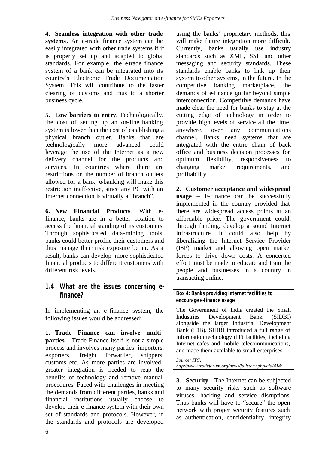**4. Seamless integration with other trade systems**. An e-trade finance system can be easily integrated with other trade systems if it is properly set up and adapted to global standards. For example, the e-trade finance system of a bank can be integrated into its country's Electronic Trade Documentation System. This will contribute to the faster clearing of customs and thus to a shorter business cycle.

**5. Low barriers to entry**. Technologically, the cost of setting up an on-line banking system is lower than the cost of establishing a physical branch outlet. Banks that are technologically more advanced could leverage the use of the Internet as a new delivery channel for the products and services. In countries where there are restrictions on the number of branch outlets allowed for a bank, e-banking will make this restriction ineffective, since any PC with an Internet connection is virtually a "branch".

**6. New Financial Products**. With efinance, banks are in a better position to access the financial standing of its customers. Through sophisticated data-mining tools, banks could better profile their customers and thus manage their risk exposure better. As a result, banks can develop more sophisticated financial products to different customers with different risk levels.

## **1.4 What are the issues concerning efinance?**

In implementing an e-finance system, the following issues would be addressed:

**1. Trade Finance can involve multiparties –** Trade Finance itself is not a simple process and involves many parties: importers, exporters, freight forwarder, shippers, customs etc. As more parties are involved, greater integration is needed to reap the benefits of technology and remove manual procedures. Faced with challenges in meeting the demands from different parties, banks and financial institutions usually choose to develop their e-finance system with their own set of standards and protocols. However, if the standards and protocols are developed

using the banks' proprietary methods, this will make future integration more difficult. Currently, banks usually use industry standards such as XML, SSL and other messaging and security standards. These standards enable banks to link up their system to other systems, in the future. In the competitive banking marketplace, the demands of e-finance go far beyond simple interconnection. Competitive demands have made clear the need for banks to stay at the cutting edge of technology in order to provide high levels of service all the time, anywhere, over any communications channel. Banks need systems that are integrated with the entire chain of back office and business decision processes for optimum flexibility, responsiveness to changing market requirements, and profitability.

**2. Customer acceptance and widespread usage –** E-finance can be successfully implemented in the country provided that there are widespread access points at an affordable price. The government could, through funding, develop a sound Internet infrastructure. It could also help by liberalizing the Internet Service Provider (ISP) market and allowing open market forces to drive down costs. A concerted effort must be made to educate and train the people and businesses in a country in transacting online.

#### **Box 4: Banks providing Internet facilities to encourage e-finance usage**

The Government of India created the Small Industries Development Bank (SIDBI) alongside the larger Industrial Development Bank (IDB). SIDBI introduced a full range of information technology (IT) facilities, including Internet cafes and mobile telecommunications, and made them available to small enterprises.

*Source: ITC, http://www.tradeforum.org/news/fullstory.php/aid/414/*

**3. Security -** The Internet can be subjected to many security risks such as software viruses, hacking and service disruptions. Thus banks will have to "secure" the open network with proper security features such as authentication, confidentiality, integrity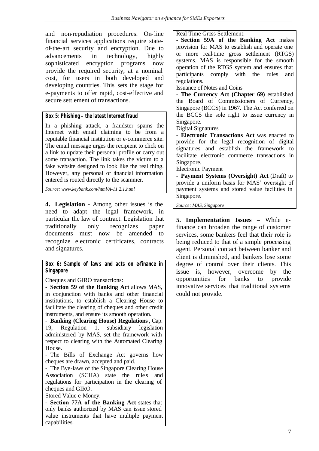and non-repudiation procedures. On-line financial services applications require stateof-the-art security and encryption. Due to advancements in technology, highly sophisticated encryption programs now provide the required security, at a nominal cost, for users in both developed and developing countries. This sets the stage for e-payments to offer rapid, cost-effective and secure settlement of transactions.

#### **Box 5: Phishing – the latest Internet fraud**

In a phishing attack, a fraudster spams the Internet with email claiming to be from a reputable financial institution or e-commerce site. The email message urges the recipient to click on a link to update their personal profile or carry out some transaction. The link takes the victim to a fake website designed to look like the real thing. However, any personal or financial information entered is routed directly to the scammer.

*Source: www.keybank.com/html/A-11.2.1.html*

**4. Legislation -** Among other issues is the need to adapt the legal framework, in particular the law of contract. Legislation that traditionally only recognizes paper documents must now be amended to recognize electronic certificates, contracts and signatures.

**Box 6: Sample of laws and acts on e-finance in Singapore**

Cheques and GIRO transactions:

- **Section 59 of the Banking Act** allows MAS, in conjunction with banks and other financial institutions, to establish a Clearing House to facilitate the clearing of cheques and other credit instruments, and ensure its smooth operation.

- **Banking (Clearing House) Regulations**, Cap. 19, Regulation 1, subsidiary legislation administered by MAS, set the framework with respect to clearing with the Automated Clearing House.

- The Bills of Exchange Act governs how cheques are drawn, accepted and paid.

- The Bye-laws of the Singapore Clearing House Association (SCHA) state the rules and regulations for participation in the clearing of cheques and GIRO.

Stored Value e-Money:

- **Section 77A of the Banking Act** states that only banks authorized by MAS can issue stored value instruments that have multiple payment capabilities.

#### Real Time Gross Settlement:

- **Section 59A of the Banking Act** makes provision for MAS to establish and operate one or more real-time gross settlement (RTGS) systems. MAS is responsible for the smooth operation of the RTGS system and ensures that participants comply with the rules and regulations.

Issuance of Notes and Coins

- **The Currency Act (Chapter 69)** established the Board of Commissioners of Currency, Singapore (BCCS) in 1967. The Act conferred on the BCCS the sole right to issue currency in Singapore.

Digital Signatures

- **Electronic Transactions Act** was enacted to provide for the legal recognition of digital signatures and establish the framework to facilitate electronic commerce transactions in Singapore.

Electronic Payment

- **Payment Systems (Oversight) Act** (Draft) to provide a uniform basis for MAS' oversight of payment systems and stored value facilities in Singapore.

*Source: MAS, Singapore*

**5. Implementation Issues –** While efinance can broaden the range of customer services, some bankers feel that their role is being reduced to that of a simple processing agent. Personal contact between banker and client is diminished, and bankers lose some degree of control over their clients. This issue is, however, overcome by the opportunities for banks to provide innovative services that traditional systems could not provide.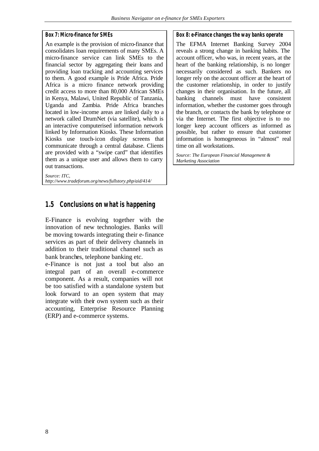#### **Box 7: Micro-finance for SMEs**

An example is the provision of micro-finance that consolidates loan requirements of many SMEs. A micro-finance service can link SMEs to the financial sector by aggregating their loans and providing loan tracking and accounting services to them. A good example is Pride Africa. Pride Africa is a micro finance network providing credit access to more than 80,000 African SMEs in Kenya, Malawi, United Republic of Tanzania, Uganda and Zambia. Pride Africa branches located in low-income areas are linked daily to a network called DrumNet (via satellite), which is an interactive computerised information network linked by Information Kiosks. These Information Kiosks use touch-icon display screens that communicate through a central database. Clients are provided with a "swipe card" that identifies them as a unique user and allows them to carry out transactions.

*Source: ITC, http://www.tradeforum.org/news/fullstory.php/aid/414/*

## **1.5 Conclusions on what is happening**

E-Finance is evolving together with the innovation of new technologies. Banks will be moving towards integrating their e-finance services as part of their delivery channels in addition to their traditional channel such as bank branches, telephone banking etc.

e-Finance is not just a tool but also an integral part of an overall e-commerce component. As a result, companies will not be too satisfied with a standalone system but look forward to an open system that may integrate with their own system such as their accounting, Enterprise Resource Planning (ERP) and e-commerce systems.

#### **Box 8: e-Finance changes the way banks operate**

The EFMA Internet Banking Survey 2004 reveals a strong change in banking habits. The account officer, who was, in recent years, at the heart of the banking relationship, is no longer necessarily considered as such. Bankers no longer rely on the account officer at the heart of the customer relationship, in order to justify changes in their organisation. In the future, all banking channels must have consistent information, whether the customer goes through the branch, or contacts the bank by telephone or via the Internet. The first objective is to no longer keep account officers as informed as possible, but rather to ensure that customer information is homogeneous in "almost" real time on all workstations.

*Source: The European Financial Management & Marketing Association*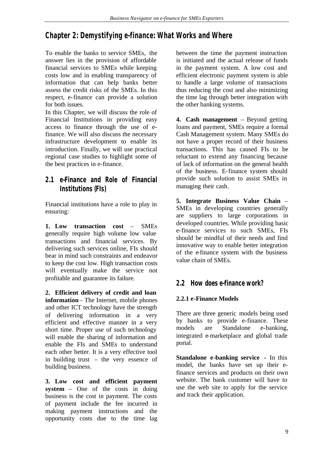## **Chapter 2: Demystifying e-finance: What Works and Where**

To enable the banks to service SMEs, the answer lies in the provision of affordable financial services to SMEs while keeping costs low and in enabling transparency of information that can help banks better assess the credit risks of the SMEs. In this respect, e-finance can provide a solution for both issues.

In this Chapter, we will discuss the role of Financial Institutions in providing easy access to finance through the use of efinance. We will also discuss the necessary infrastructure development to enable its introduction. Finally, we will use practical regional case studies to highlight some of the best practices in e-finance.

## **2.1 e-Finance and Role of Financial Institutions (FIs)**

Financial institutions have a role to play in ensuring:

**1. Low transaction cost** – SMEs generally require high volume low value transactions and financial services. By delivering such services online, FIs should bear in mind such constraints and endeavor to keep the cost low. High transaction costs will eventually make the service not profitable and guarantee its failure.

**2. Efficient delivery of credit and loan information**– The Internet, mobile phones and other ICT technology have the strength of delivering information in a very efficient and effective manner in a very short time. Proper use of such technology will enable the sharing of information and enable the FIs and SMEs to understand each other better. It is a very effective tool in building trust – the very essence of building business.

**3. Low cost and efficient payment system** – One of the costs in doing business is the cost in payment. The costs of payment include the fee incurred in making payment instructions and the opportunity costs due to the time lag

between the time the payment instruction is initiated and the actual release of funds in the payment system. A low cost and efficient electronic payment system is able to handle a large volume of transactions thus reducing the cost and also minimizing the time lag through better integration with the other banking systems.

**4. Cash management** – Beyond getting loans and payment, SMEs require a formal Cash Management system. Many SMEs do not have a proper record of their business transactions. This has caused FIs to be reluctant to extend any financing because of lack of information on the general health of the business. E-finance system should provide such solution to assist SMEs in managing their cash.

**5. Integrate Business Value Chain** – SMEs in developing countries generally are suppliers to large corporations in developed countries. While providing basic e-finance services to such SMEs, FIs should be mindful of their needs and find innovative way to enable better integration of the e-finance system with the business value chain of SMEs.

## **2.2 How does e-finance work?**

## **2.2.1 e-Finance Models**

There are three generic models being used by banks to provide e-finance. These models are Standalone e-banking, integrated e-marketplace and global trade portal.

**Standalone e-banking service -** In this model, the banks have set up their efinance services and products on their own website. The bank customer will have to use the web site to apply for the service and track their application.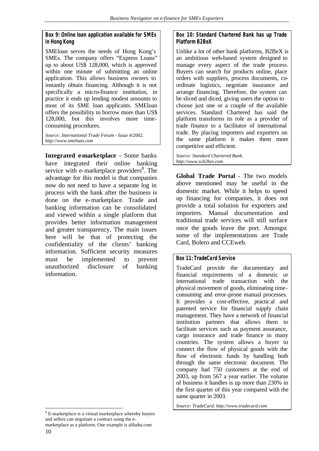#### **Box 9: Online loan application available for SMEs in Hong Kong**

SMEloan serves the needs of Hong Kong's SMEs. The company offers "Express Loans" up to about US\$ 128,000, which is approved within one minute of submitting an online application. This allows business owners to instantly obtain financing. Although it is not specifically a micro-finance institution, in practice it ends up lending modest amounts to most of its SME loan applicants. SMEloan offers the possibility to borrow more than US\$ 128,000, but this involves more timeconsuming procedures.

*Source: International Trade Forum - Issue 4/2002. http://www.smeloan.com*

**Integrated e-marketplace** - Some banks have integrated their online banking service with e-marketplace providers<sup>8</sup>. The advantage for this model is that companies now do not need to have a separate log in process with the bank after the business is done on the e-marketplace. Trade and banking information can be consolidated and viewed within a single platform that provides better information management and greater transparency. The main issues here will be that of protecting the confidentiality of the clients' banking information. Sufficient security measures must be implemented to prevent unauthorized disclosure of banking information.

l

10 marketplace as a platform. One example is alibaba.com

#### **Box 10: Standard Chartered Bank has up Trade Platform B2BeX**

Unlike a lot of other bank platforms, B2BeX is an ambitious web-based system designed to manage every aspect of the trade process. Buyers can search for products online, place orders with suppliers, process documents, coordinate logistics, negotiate insurance and arrange financing. Therefore, the system can be sliced and diced, giving users the option to choose just one or a couple of the available services. Standard Chartered has said the platform transforms its role as a provider of trade finance to a facilitator of international trade. By placing importers and exporters on the same platform it makes them more competitive and efficient.

*Source: Standard Chartered Bank. http://www.scb2bex.com*

**Global Trade Portal** - The two models above mentioned may be useful in the domestic market. While it helps to speed up financing for companies, it does not provide a total solution for exporters and importers. Manual documentation and traditional trade services will still surface once the goods leave the port. Amongst some of the implementations are Trade Card, Bolero and CCEweb.

#### **Box 11: TradeCard Service**

TradeCard provide the documentary and financial requirements of a domestic or international trade transaction with the physical movement of goods, eliminating timeconsuming and error-prone manual processes. It provides a cost-effective, practical and patented service for financial supply chain management. They have a network of financial institution partners that allows them to facilitate services such as payment assurance, cargo insurance and trade finance in many countries. The system allows a buyer to connect the flow of physical goods with the flow of electronic funds by handling both through the same electronic document. The company had 750 customers at the end of 2003, up from 567 a year earlier. The volume of business it handles is up more than 230% in the first quarter of this year compared with the same quarter in 2003.

*Source: TradeCard. http://www.tradecard.com*

<sup>&</sup>lt;sup>8</sup> E-marketplace is a virtual marketplace whereby buyers and sellers can negotiate a contract using the e-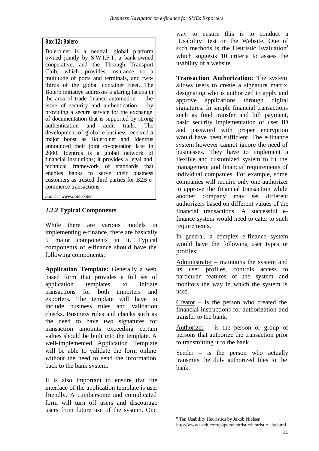#### **Box 12: Bolero**

Bolero.net is a neutral, global platform owned jointly by S.W.I.F.T, a bank-owned cooperative, and the Through Transport Club, which provides insurance to a multitude of ports and terminals, and twothirds of the global container fleet. The Bolero initiative addresses a glaring lacuna in the area of trade finance automation – the issue of security and authentication – by providing a secure service for the exchange of documentation that is supported by strong authentication and audit trails. The development of global e-business received a major boost as Bolero.net and Identrus announced their joint co-operation late in 2000. Identrus is a global network of financial institutions; it provides a legal and technical framework of standards that enables banks to serve their business customers as trusted third parties for B2B ecommerce transactions.

*Source: www.bolero.net*

## **2.2.2 Typical Components**

While there are various models in implementing e-finance, there are basically 5 major components in it. Typical components of e-finance should have the following components:

**Application Template:** Generally a web based form that provides a full set of application templates to initiate transactions for both importers and exporters. The template will have to include business rules and validation checks. Business rules and checks such as the need to have two signatures for transaction amounts exceeding certain values should be built into the template. A well-implemented Application Template will be able to validate the form online without the need to send the information back to the bank system.

It is also important to ensure that the interface of the application template is user friendly. A cumbersome and complicated form will turn off users and discourage users from future use of the system. One

way to ensure this is to conduct a 'Usability' test on the Website. One of such methods is the Heuristic Evaluation $\theta$ which suggests 10 criteria to assess the usability of a website.

**Transaction Authorization:** The system allows users to create a signature matrix designating who is authorized to apply and approve applications through digital signatures. In simple financial transactions such as fund transfer and bill payment, basic security implementation of user ID and password with proper encryption would have been sufficient. The e-finance system however cannot ignore the need of businesses. They have to implement a flexible and customized system to fit the management and financial requirements of individual companies. For example, some companies will require only one authorizer to approve the financial transaction while another company may set different authorizers based on different values of the financial transactions. A successful efinance system would need to cater to such requirements.

In general, a complex e-finance system would have the following user types or profiles:

Administrator – maintains the system and its user profiles, controls access to particular features of the system and monitors the way in which the system is used.

 $Creator - is the person who created the$ financial instructions for authorization and transfer to the bank.

Authorizer – is the person or group of persons that authorize the transaction prior to transmitting it to the bank.

Sender – is the person who actually transmits the duly authorized files to the bank.

l

<sup>&</sup>lt;sup>9</sup> Ten Usability Heuristics by Jakob Nielsen. http://www.useit.com/papers/heuristic/heuristic\_list.html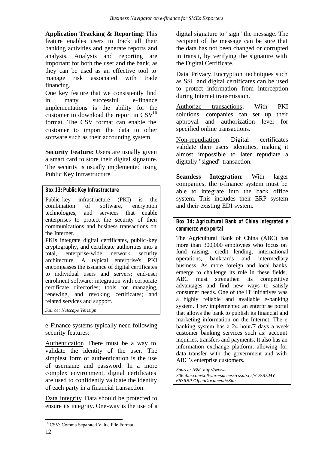**Application Tracking & Reporting:** This feature enables users to track all their banking activities and generate reports and analysis. Analysis and reporting are important for both the user and the bank, as they can be used as an effective tool to manage risk associated with trade financing.

One key feature that we consistently find in many successful e-finance implementations is the ability for the customer to download the report in  $\text{CSV}^{10}$ format. The CSV format can enable the customer to import the data to other software such as their accounting system.

**Security Feature:** Users are usually given a smart card to store their digital signature. The security is usually implemented using Public Key Infrastructure.

#### **Box 13: Public Key Infrastructure**

Public-key infrastructure (PKI) is the combination of software, encryption technologies, and services that enable enterprises to protect the security of their communications and business transactions on the Internet.

PKIs integrate digital certificates, public -key cryptography, and certificate authorities into a total, enterprise-wide network security architecture. A typical enterprise's PKI encompasses the issuance of digital certificates to individual users and servers; end-user enrolment software; integration with corporate certificate directories; tools for managing, renewing, and revoking certificates; and related services and support.

*Source: Netscape Verisign*

e-Finance systems typically need following security features:

Authentication. There must be a way to validate the identity of the user. The simplest form of authentication is the use of username and password. In a more complex environment, digital certificates are used to confidently validate the identity of each party in a financial transaction.

Data integrity. Data should be protected to ensure its integrity. One-way is the use of a

digital signature to "sign" the message. The recipient of the message can be sure that the data has not been changed or corrupted in transit, by verifying the signature with the Digital Certificate.

Data Privacy. Encryption techniques such as SSL and digital certificates can be used to protect information from interception during Internet transmission.

Authorize transactions. With PKI solutions, companies can set up their approval and authorization level for specified online transactions.

Non-repudiation. Digital certificates validate their users' identities, making it almost impossible to later repudiate a digitally "signed" transaction.

**Seamless Integration**: With larger companies, the e-finance system must be able to integrate into the back office system. This includes their ERP system and their existing EDI system.

**Box 14: Agricultural Bank of China integrated ecommerce web portal**

The Agricultural Bank of China (ABC) has more than 300,000 employees who focus on fund raising, credit lending, international operations, bankcards and intermediary business. As more foreign and local banks emerge to challenge its role in these fields, ABC must strengthen its competitive advantages and find new ways to satisfy consumer needs. One of the IT initiatives was a highly reliable and available e-banking system. They implemented an enterprise portal that allows the bank to publish its financial and marketing information on the Internet. The ebanking system has a 24 hour/7 days a week customer banking services such as: account inquiries, transfers and payments. It also has an information exchange platform, allowing for data transfer with the government and with ABC's enterprise customers.

*Source: IBM. http://www-306.ibm.com/software/success/cssdb.nsf/CS/BEMY-66SRBP?OpenDocument&Site=*

l <sup>10</sup> CSV: Comma Separated Value File Format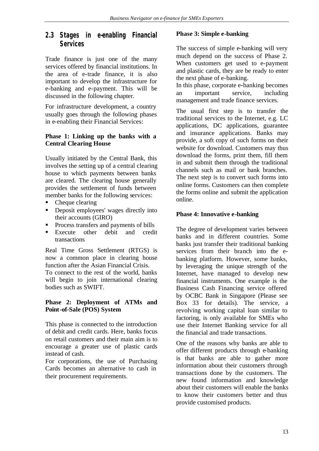## **2.3 Stages in e-enabling Financial Services**

Trade finance is just one of the many services offered by financial institutions. In the area of e-trade finance, it is also important to develop the infrastructure for e-banking and e-payment. This will be discussed in the following chapter.

For infrastructure development, a country usually goes through the following phases in e-enabling their Financial Services:

#### **Phase 1: Linking up the banks with a Central Clearing House**

Usually initiated by the Central Bank, this involves the setting up of a central clearing house to which payments between banks are cleared. The clearing house generally provides the settlement of funds between member banks for the following services:

- $\blacksquare$  Cheque clearing
- **•** Deposit employees' wages directly into their accounts (GIRO)
- **•** Process transfers and payments of bills
- **Execute** other debit and credit transactions

Real Time Gross Settlement (RTGS) is now a common place in clearing house function after the Asian Financial Crisis. To connect to the rest of the world, banks will begin to join international clearing bodies such as SWIFT.

### **Phase 2: Deployment of ATMs and Point-of-Sale (POS) System**

This phase is connected to the introduction of debit and credit cards. Here, banks focus on retail customers and their main aim is to encourage a greater use of plastic cards instead of cash.

For corporations, the use of Purchasing Cards becomes an alternative to cash in their procurement requirements.

#### **Phase 3: Simple e-banking**

The success of simple e-banking will very much depend on the success of Phase 2. When customers get used to e-payment and plastic cards, they are be ready to enter the next phase of e-banking.

In this phase, corporate e-banking becomes an important service, including management and trade finance services.

The usual first step is to transfer the traditional services to the Internet, e.g. LC applications, DC applications, guarantee and insurance applications. Banks may provide, a soft copy of such forms on their website for download. Customers may thus download the forms, print them, fill them in and submit them through the traditional channels such as mail or bank branches. The next step is to convert such forms into online forms. Customers can then complete the forms online and submit the application online.

#### **Phase 4: Innovative e-banking**

The degree of development varies between banks and in different countries. Some banks just transfer their traditional banking services from their branch into the ebanking platform. However, some banks, by leveraging the unique strength of the Internet, have managed to develop new financial instruments. One example is the Business Cash Financing service offered by OCBC Bank in Singapore (Please see Box 33 for details). The service, a revolving working capital loan similar to factoring, is only available for SMEs who use their Internet Banking service for all the financial and trade transactions.

One of the reasons why banks are able to offer different products through e-banking is that banks are able to gather more information about their customers through transactions done by the customers. The new found information and knowledge about their customers will enable the banks to know their customers better and thus provide customised products.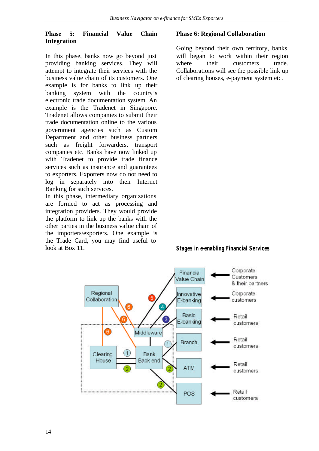### **Phase 5: Financial Value Chain Integration**

In this phase, banks now go beyond just providing banking services. They will attempt to integrate their services with the business value chain of its customers. One example is for banks to link up their banking system with the country's electronic trade documentation system. An example is the Tradenet in Singapore. Tradenet allows companies to submit their trade documentation online to the various government agencies such as Custom Department and other business partners such as freight forwarders, transport companies etc. Banks have now linked up with Tradenet to provide trade finance services such as insurance and guarantees to exporters. Exporters now do not need to log in separately into their Internet Banking for such services.

In this phase, intermediary organizations are formed to act as processing and integration providers. They would provide the platform to link up the banks with the other parties in the business va lue chain of the importers/exporters. One example is the Trade Card, you may find useful to look at Box 11.

#### **Phase 6: Regional Collaboration**

Going beyond their own territory, banks will began to work within their region where their customers trade. Collaborations will see the possible link up of clearing houses, e-payment system etc.

#### **Stages in e-enabling Financial Services**

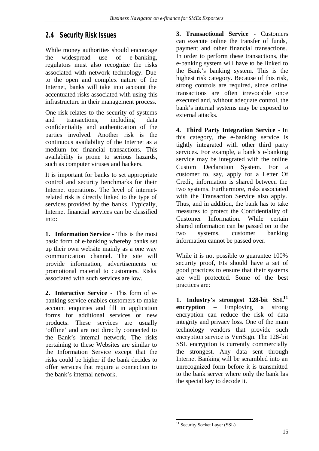## **2.4 Security Risk Issues**

While money authorities should encourage the widespread use of e-banking, regulators must also recognize the risks associated with network technology. Due to the open and complex nature of the Internet, banks will take into account the accentuated risks associated with using this infrastructure in their management process.

One risk relates to the security of systems and transactions, including data confidentiality and authentication of the parties involved. Another risk is the continuous availability of the Internet as a medium for financial transactions. This availability is prone to serious hazards, such as computer viruses and hackers.

It is important for banks to set appropriate control and security benchmarks for their Internet operations. The level of internetrelated risk is directly linked to the type of services provided by the banks. Typically, Internet financial services can be classified into:

**1. Information Service** - This is the most basic form of e-banking whereby banks set up their own website mainly as a one way communication channel. The site will provide information, advertisements or promotional material to customers. Risks associated with such services are low.

**2. Interactive Service** - This form of ebanking service enables customers to make account enquiries and fill in application forms for additional services or new products. These services are usually 'offline' and are not directly connected to the Bank's internal network. The risks pertaining to these Websites are similar to the Information Service except that the risks could be higher if the bank decides to offer services that require a connection to the bank's internal network.

**3. Transactional Service** - Customers can execute online the transfer of funds, payment and other financial transactions. In order to perform these transactions, the e-banking system will have to be linked to the Bank's banking system. This is the highest risk category. Because of this risk, strong controls are required, since online transactions are often irrevocable once executed and, without adequate control, the bank's internal systems may be exposed to external attacks.

**4. Third Party Integration Service** - In this category, the e-banking service is tightly integrated with other third party services. For example, a bank's e-banking service may be integrated with the online Custom Declaration System. For a customer to, say, apply for a Letter Of Credit, information is shared between the two systems. Furthermore, risks associated with the Transaction Service also apply. Thus, and in addition, the bank has to take measures to protect the Confidentiality of Customer Information. While certain shared information can be passed on to the two systems, customer banking information cannot be passed over.

While it is not possible to guarantee 100% security proof, FIs should have a set of good practices to ensure that their systems are well protected. Some of the best practices are:

**1. Industry's strongest 128-bit SSL<sup>11</sup> encryption –** Employing a strong encryption can reduce the risk of data integrity and privacy loss. One of the main technology vendors that provide such encryption service is VeriSign. The 128-bit SSL encryption is currently commercially the strongest. Any data sent through Internet Banking will be scrambled into an unrecognized form before it is transmitted to the bank server where only the bank has the special key to decode it.

l <sup>11</sup> Security Socket Layer (SSL)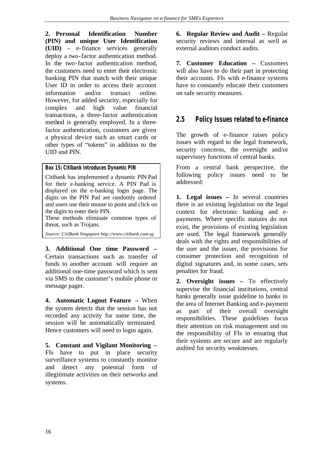**2. Personal Identification Number (PIN) and unique User Identification (UID)** – e-finance services generally deploy a two-factor authentication method. In the two-factor authentication method, the customers need to enter their electronic banking PIN that match with their unique User ID in order to access their account information and/or transact online. However, for added security, especially for complex and high value financial transactions, a three-factor authentication method is generally employed. In a threefactor authentication, customers are given a physical device such as smart cards or other types of "tokens" in addition to the UID and PIN.

**Box 15: Citibank introduces Dynamic PIN** 

Citibank has implemented a dynamic PIN Pad for their e-banking service. A PIN Pad is displayed on the e-banking login page. The digits on the PIN Pad are randomly ordered and users use their mouse to point and click on the digits to enter their PIN.

These methods eliminate common types of threat, such as Trojans.

*Source: CitiBank Singapore http://www.citibank.com.sg*

**3. Additional One time Password –** Certain transactions such as transfer of funds to another account will require an additional one-time password which is sent via SMS to the customer's mobile phone or message pager.

**4. Automatic Logout Feature –** When the system detects that the session has not recorded any activity for some time, the session will be automatically terminated. Hence customers will need to login again.

**5. Constant and Vigilant Monitoring –** FIs have to put in place security surveillance systems to constantly monitor and detect any potential form of illegitimate activities on their networks and systems.

**6. Regular Review and Audit –** Regular security reviews and internal as well as external auditors conduct audits.

**7. Customer Education –** Customers will also have to do their part in protecting their accounts. FIs with e-finance systems have to constantly educate their customers on safe security measures.

## **2.5 Policy Issues related to e-finance**

The growth of e-finance raises policy issues with regard to the legal framework, security concerns, the oversight and/or supervisory functions of central banks.

From a central bank perspective, the following policy issues need to be addressed:

**1. Legal issues –** In several countries there is an existing legislation on the legal context for electronic banking and epayments. Where specific statutes do not exist, the provisions of existing legislation are used. The legal framework generally deals with the rights and responsibilities of the user and the issuer, the provisions for consumer protection and recognition of digital signatures and, in some cases, sets penalties for fraud.

**2. Oversight issues –** To effectively supervise the financial institutions, central banks generally issue guideline to banks in the area of Internet Banking and e-payment as part of their overall oversight responsibilities. These guidelines focus their attention on risk management and on the responsibility of FIs in ensuring that their systems are secure and are regularly audited for security weaknesses.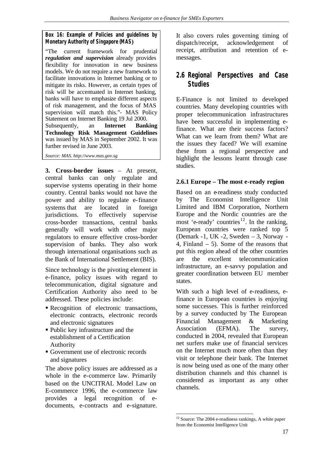### **Box 16: Example of Policies and guidelines by Monetary Authority of Singapore (MAS)**

"The current framework for prudential *regulation and supervision* already provides flexibility for innovation in new business models. We do not require a new framework to facilitate innovations in Internet banking or to mitigate its risks. However, as certain types of risk will be accentuated in Internet banking, banks will have to emphasize different aspects of risk management, and the focus of MAS supervision will match this."- MAS Policy Statement on Internet Banking 19 Jul 2000. Subsequently, an **Internet Banking Technology Risk Management Guidelines** was issued by MAS in September 2002. It was

further revised in June 2003.

*Source: MAS. http://www.mas.gov.sg*

**3. Cross-border issues** – At present, central banks can only regulate and supervise systems operating in their home country. Central banks would not have the power and ability to regulate e-finance systems that are located in foreign jurisdictions. To effectively supervise cross-border transactions, central banks generally will work with other major regulators to ensure effective cross-border supervision of banks. They also work through international organisations such as the Bank of International Settlement (BIS).

Since technology is the pivoting element in e-finance, policy issues with regard to telecommunication, digital signature and Certification Authority also need to be addressed. These policies include:

- Recognition of electronic transactions, electronic contracts, electronic records and electronic signatures
- Public key infrastructure and the establishment of a Certification Authority
- Government use of electronic records and signatures

The above policy issues are addressed as a whole in the e-commerce law. Primarily based on the UNCITRAL Model Law on E-commerce 1996, the e-commerce law provides a legal recognition of edocuments, e-contracts and e-signature.

It also covers rules governing timing of dispatch/receipt, acknowledgement of receipt, attribution and retention of emessages.

## **2.6 Regional Perspectives and Case Studies**

E-Finance is not limited to developed countries. Many developing countries with proper telecommunication infrastructures have been successful in implementing efinance. What are their success factors? What can we learn from them? What are the issues they faced? We will examine these from a regional perspective and highlight the lessons learnt through case studies.

## **2.6.1 Europe – The most e-ready region**

Based on an e-readiness study conducted by The Economist Intelligence Unit Limited and IBM Corporation, Northern Europe and the Nordic countries are the most 'e-ready' countries<sup>12</sup>. In the ranking, European countries were ranked top 5 (Demark -1, UK -2, Sweden – 3, Norway - 4, Finland – 5). Some of the reasons that put this region ahead of the other countries are the excellent telecommunication infrastructure, an e-savvy population and greater coordination between EU member states.

With such a high level of e-readiness, efinance in European countries is enjoying some successes. This is further reinforced by a survey conducted by The European Financial Management & Marketing Association (EFMA). The survey, conducted in 2004, revealed that European net surfers make use of financial services on the Internet much more often than they visit or telephone their bank. The Internet is now being used as one of the many other distribution channels and this channel is considered as important as any other channels.

l  $12$  Source: The 2004 e-readiness rankings, A white paper from the Economist Intelligence Unit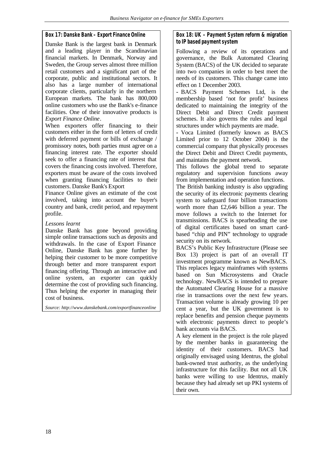#### **Box 17: Danske Bank – Export Finance Online**

Danske Bank is the largest bank in Denmark and a leading player in the Scandinavian financial markets. In Denmark, Norway and Sweden, the Group serves almost three million retail customers and a significant part of the corporate, public and institutional sectors. It also has a large number of international corporate clients, particularly in the northern European markets. The bank has 800,000 online customers who use the Bank's e-finance facilities. One of their innovative products is *Export Finance Online*.

When exporters offer financing to their customers either in the form of letters of credit with deferred payment or bills of exchange / promissory notes, both parties must agree on a financing interest rate. The exporter should seek to offer a financing rate of interest that covers the financing costs involved. Therefore, exporters must be aware of the costs involved when granting financing facilities to their customers. Danske Bank's Export

Finance Online gives an estimate of the cost involved, taking into account the buyer's country and bank, credit period, and repayment profile.

*Lessons learnt*

Danske Bank has gone beyond providing simple online transactions such as deposits and withdrawals. In the case of Export Finance Online, Danske Bank has gone further by helping their customer to be more competitive through better and more transparent export financing offering. Through an interactive and online system, an exporter can quickly determine the cost of providing such financing. Thus helping the exporter in managing their cost of business.

*Source: http://www.danskebank.com/exportfinanceonline*

#### **Box 18: UK – Payment System reform & migration to IP based payment system**

Following a review of its operations and governance, the Bulk Automated Clearing System (BACS) of the UK decided to separate into two companies in order to best meet the needs of its customers. This change came into effect on 1 December 2003.

**-** BACS Payment Schemes Ltd, is the membership based 'not for profit' business dedicated to maintaining the integrity of the Direct Debit and Direct Credit payment schemes. It also governs the rules and legal structures under which payments are made.

**-** Voca Limited (formerly known as BACS Limited prior to 12 October 2004) is the commercial company that physically processes the Direct Debit and Direct Credit payments, and maintains the payment network.

This follows the global trend to separate regulatory and supervision functions away from implementation and operation functions.

The British banking industry is also upgrading the security of its electronic payments clearing system to safeguard four billion transactions worth more than £2,646 billion a year. The move follows a switch to the Internet for transmissions. BACS is spearheading the use of digital certificates based on smart cardbased "chip and PIN" technology to upgrade security on its network.

BACS's Public Key Infrastructure (Please see Box 13) project is part of an overall IT investment programme known as NewBACS. This replaces legacy mainframes with systems based on Sun Microsystems and Oracle technology. NewBACS is intended to prepare the Automated Clearing House for a massive rise in transactions over the next few years. Transaction volume is already growing 10 per cent a year, but the UK government is to replace benefits and pension cheque payments with electronic payments direct to people's bank accounts via BACS.

A key element in the project is the role played by the member banks in guaranteeing the identity of their customers. BACS had originally envisaged using Identrus, the global bank-owned trust authority, as the underlying infrastructure for this facility. But not all UK banks were willing to use Identrus, mainly because they had already set up PKI systems of their own.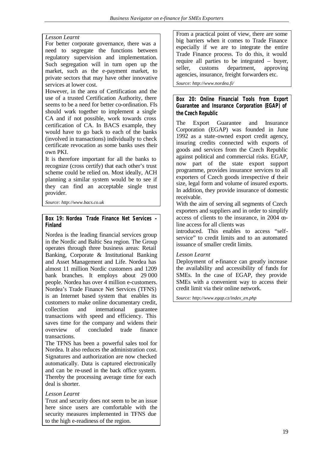#### *Lesson Learnt*

For better corporate governance, there was a need to segregate the functions between regulatory supervision and implementation. Such segregation will in turn open up the market, such as the e-payment market, to private sectors that may have other innovative services at lower cost.

However, in the area of Certification and the use of a trusted Certification Authority, there seems to be a need for better co-ordination. FIs should work together to implement a single CA and if not possible, work towards cross certification of CA. In BACS example, they would have to go back to each of the banks (involved in transactions) individually to check certificate revocation as some banks uses their own PKI.

It is therefore important for all the banks to recognize (cross certify) that each other's trust scheme could be relied on. Most ideally, ACH planning a similar system would be to see if they can find an acceptable single trust provider.

*Source: http://www.bacs.co.uk*

#### **Box 19: Nordea Trade Finance Net Services – Finland**

Nordea is the leading financial services group in the Nordic and Baltic Sea region. The Group operates through three business areas: Retail Banking, Corporate & Institutional Banking and Asset Management and Life. Nordea has almost 11 million Nordic customers and 1209 bank branches. It employs about 29 000 people. Nordea has over 4 million e-customers. Nordea's Trade Finance Net Services (TFNS) is an Internet based system that enables its customers to make online documentary credit, collection and international guarantee transactions with speed and efficiency. This saves time for the company and widens their overview of concluded trade finance transactions.

The TFNS has been a powerful sales tool for Nordea. It also reduces the administration cost. Signatures and authorization are now checked automatically. Data is captured electronically and can be re-used in the back office system. Thereby the processing average time for each deal is shorter.

#### *Lesson Learnt*

Trust and security does not seem to be an issue here since users are comfortable with the security measures implemented in TFNS due to the high e-readiness of the region.

From a practical point of view, there are some big barriers when it comes to Trade Finance especially if we are to integrate the entire Trade Finance process. To do this, it would require all parties to be integrated – buyer, seller, customs department, approving agencies, insurance, freight forwarders etc.

*Source: http://www.nordea.fi/*

**Box 20: Online Financial Tools from Export Guarantee and Insurance Corporation (EGAP) of the Czech Republic** 

The Export Guarantee and Insurance Corporation (EGAP) was founded in June 1992 as a state-owned export credit agency, insuring credits connected with exports of goods and services from the Czech Republic against political and commercial risks. EGAP, now part of the state export support programme, provides insurance services to all exporters of Czech goods irrespective of their size, legal form and volume of insured exports. In addition, they provide insurance of domestic receivable.

With the aim of serving all segments of Czech exporters and suppliers and in order to simplify access of clients to the insurance, in 2004 online access for all clients was

introduced. This enables to access "selfservice" to credit limits and to an automated issuance of smaller credit limits.

#### *Lesson Learnt*

Deployment of e-finance can greatly increase the availability and accessibility of funds for SMEs. In the case of EGAP, they provide SMEs with a convenient way to access their credit limit via their online network.

*Source: http://www.egap.cz/index\_en.php*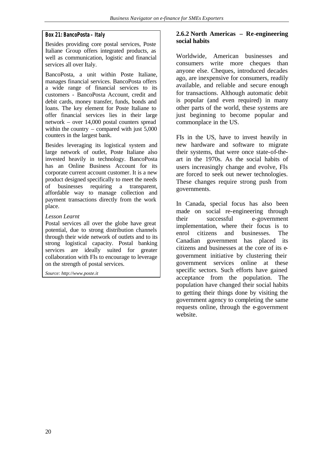#### **Box 21: BancoPosta – Italy**

Besides providing core postal services, Poste Italiane Group offers integrated products, as well as communication, logistic and financial services all over Italy.

BancoPosta, a unit within Poste Italiane, manages financial services. BancoPosta offers a wide range of financial services to its customers - BancoPosta Account, credit and debit cards, money transfer, funds, bonds and loans. The key element for Poste Italiane to offer financial services lies in their large network – over 14,000 postal counters spread within the country – compared with just  $5,000$ counters in the largest bank.

Besides leveraging its logistical system and large network of outlet, Poste Italiane also invested heavily in technology. BancoPosta has an Online Business Account for its corporate current account customer. It is a new product designed specifically to meet the needs of businesses requiring a transparent, affordable way to manage collection and payment transactions directly from the work place.

#### *Lesson Learnt*

Postal services all over the globe have great potential, due to strong distribution channels through their wide network of outlets and to its strong logistical capacity. Postal banking services are ideally suited for greater collaboration with FIs to encourage to leverage on the strength of postal services.

*Source: http://www.poste.it*

#### **2.6.2 North Americas – Re-engineering social habits**

Worldwide, American businesses and consumers write more cheques than anyone else. Cheques, introduced decades ago, are inexpensive for consumers, readily available, and reliable and secure enough for transactions. Although automatic debit is popular (and even required) in many other parts of the world, these systems are just beginning to become popular and commonplace in the US.

FIs in the US, have to invest heavily in new hardware and software to migrate their systems, that were once state-of-theart in the 1970s. As the social habits of users increasingly change and evolve, FIs are forced to seek out newer technologies. These changes require strong push from governments.

In Canada, special focus has also been made on social re-engineering through their successful e-government implementation, where their focus is to enrol citizens and businesses. The Canadian government has placed its citizens and businesses at the core of its egovernment initiative by clustering their government services online at these specific sectors. Such efforts have gained acceptance from the population. The population have changed their social habits to getting their things done by visiting the government agency to completing the same requests online, through the e-government website.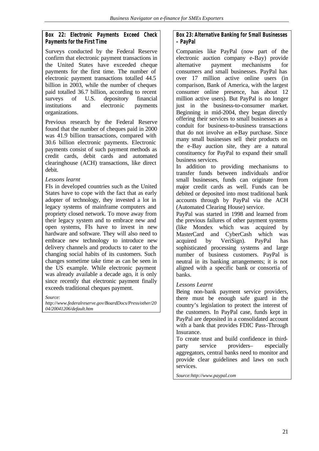#### **Box 22: Electronic Payments Exceed Check Payments for the First Time**

Surveys conducted by the Federal Reserve confirm that electronic payment transactions in the United States have exceeded cheque payments for the first time. The number of electronic payment transactions totalled 44.5 billion in 2003, while the number of cheques paid totalled 36.7 billion, according to recent surveys of U.S. depository financial institutions and electronic payments organizations.

Previous research by the Federal Reserve found that the number of cheques paid in 2000 was 41.9 billion transactions, compared with 30.6 billion electronic payments. Electronic payments consist of such payment methods as credit cards, debit cards and automated clearinghouse (ACH) transactions, like direct debit.

#### *Lessons learnt*

FIs in developed countries such as the United States have to cope with the fact that as early adopter of technology, they invested a lot in legacy systems of mainframe computers and propriety closed network. To move away from their legacy system and to embrace new and open systems, FIs have to invest in new hardware and software. They will also need to embrace new technology to introduce new delivery channels and products to cater to the changing social habits of its customers. Such changes sometime take time as can be seen in the US example. While electronic payment was already available a decade ago, it is only since recently that electronic payment finally exceeds traditional cheques payment.

*Source:* 

*http://www.federalreserve.gov/BoardDocs/Press/other/20 04/20041206/default.htm*

#### **Box 23: Alternative Banking for Small Businesses – PayPal**

Companies like PayPal (now part of the electronic auction company e-Bay) provide alternative payment mechanisms for consumers and small businesses. PayPal has over 17 million active online users (in comparison, Bank of America, with the largest consumer online presence, has about 12 million active users). But PayPal is no longer just in the business-to-consumer market. Beginning in mid-2004, they began directly offering their services to small businesses as a conduit for business-to-business transactions that do not involve an e-Bay purchase. Since many small businesses sell their products on the e-Bay auction site, they are a natural constituency for PayPal to expand their small business services.

In addition to providing mechanisms to transfer funds between individuals and/or small businesses, funds can originate from major credit cards as well. Funds can be debited or deposited into most traditional bank accounts through by PayPal via the ACH (Automated Clearing House) service.

PayPal was started in 1998 and learned from the previous failures of other payment systems (like Mondex which was acquired by MasterCard and CyberCash which was acquired by VeriSign). PayPal has sophisticated processing systems and large number of business customers. PayPal is neutral in its banking arrangements; it is not aligned with a specific bank or consortia of banks.

#### *Lessons Learnt*

Being non-bank payment service providers, there must be enough safe guard in the country's legislation to protect the interest of the customers. In PayPal case, funds kept in PayPal are deposited in a consolidated account with a bank that provides FDIC Pass-Through **Insurance** 

To create trust and build confidence in thirdparty service providers– especially aggregators, central banks need to monitor and provide clear guidelines and laws on such services.

*Source:http://www.paypal.com*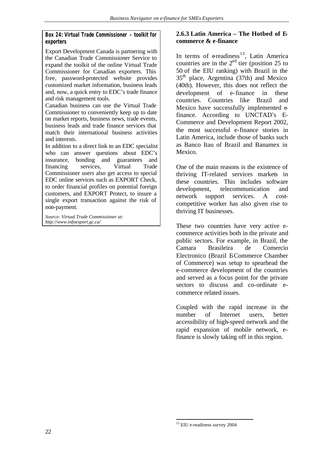#### **Box 24: Virtual Trade Commissioner – toolkit for exporters**

Export Development Canada is partnering with the Canadian Trade Commissioner Service to expand the toolkit of the online Virtual Trade Commissioner for Canadian exporters. This free, password-protected website provides customized market information, business leads and, now, a quick entry to EDC's trade finance and risk management tools.

Canadian business can use the Virtual Trade Commissioner to conveniently keep up to date on market reports, business news, trade events, business leads and trade finance services that match their international business activities and interests.

In addition to a direct link to an EDC specialist who can answer questions about EDC's insurance, bonding and guarantees and financing services, Virtual Trade Commissioner users also get access to special EDC online services such as EXPORT Check, to order financial profiles on potential foreign customers, and EXPORT Protect, to insure a single export transaction against the risk of non-payment.

*Source: Virtual Trade Commissioner at: http://www.infoexport.gc.ca/*

#### **2.6.3 Latin America – The Hotbed of Ecommerce & e-finance**

In terms of  $e$ readiness<sup>13</sup>, Latin America countries are in the  $2<sup>nd</sup>$  tier (position 25 to 50 of the EIU ranking) with Brazil in the  $35<sup>th</sup>$  place, Argentina (37th) and Mexico (40th). However, this does not reflect the development of e-finance in these countries. Countries like Brazil and Mexico have successfully implemented efinance. According to UNCTAD's E-Commerce and Development Report 2002, the most successful e-finance stories in Latin America, include those of banks such as Banco Itau of Brazil and Banamex in Mexico.

One of the main reasons is the existence of thriving IT-related services markets in these countries. This includes software development, telecommunication and network support services. A costcompetitive worker has also given rise to thriving IT businesses.

These two countries have very active ecommerce activities both in the private and public sectors. For example, in Brazil, the Camara Brasileira de Comercio Electronico (Brazil E-Commerce Chamber of Commerce) was setup to spearhead the e-commerce development of the countries and served as a focus point for the private sectors to discuss and co-ordinate ecommerce related issues.

Coupled with the rapid increase in the number of Internet users, better accessibility of high-speed network and the rapid expansion of mobile network, efinance is slowly taking off in this region.

l <sup>13</sup> EIU e-readiness survey 2004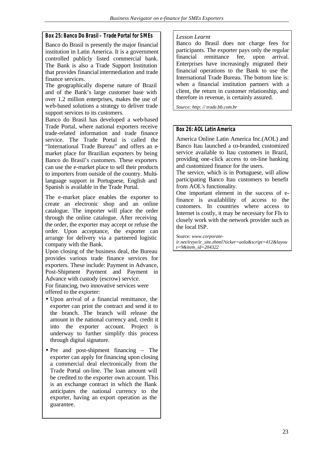#### **Box 25: Banco Do Brasil – Trade Portal for SMEs**

Banco do Brasil is presently the major financial institution in Latin America. It is a government controlled publicly listed commercial bank. The Bank is also a Trade Support Institution that provides financial intermediation and trade finance services.

The geographically disperse nature of Brazil and of the Bank's large customer base with over 1.2 million enterprises, makes the use of web-based solutions a strategy to deliver trade support services to its customers.

Banco do Brasil has developed a web-based Trade Portal, where national exporters receive trade-related information and trade finance service. The Trade Portal is called the "International Trade Bureau" and offers an emarket place for Brazilian exporters by being Banco do Brasil's customers. These exporters can use the e-market place to sell their products to importers from outside of the country. Multilanguage support in Portuguese, English and Spanish is available in the Trade Portal.

The e-market place enables the exporter to create an electronic shop and an online catalogue. The importer will place the order through the online catalogue. After receiving the order, the exporter may accept or refuse the order. Upon acceptance, the exporter can arrange for delivery via a partnered logistic company with the Bank.

Upon closing of the business deal, the Bureau provides various trade finance services for exporters. These include: Payment in Advance, Post-Shipment Payment and Payment in Advance with custody (escrow) service.

For financing, two innovative services were offered to the exporter:

- Upon arrival of a financial remittance, the exporter can print the contract and send it to the branch. The branch will release the amount in the national currency and, credit it into the exporter account. Project is underway to further simplify this process through digital signature.
- Pre and post-shipment financing The exporter can apply for financing upon closing a commercial deal electronically from the Trade Portal on-line. The loan amount will be credited to the exporter own account. This is an exchange contract in which the Bank anticipates the national currency to the exporter, having an export operation as the guarantee.

#### *Lesson Learnt*

Banco do Brasil does not charge fees for participants. The exporter pays only the regular financial remittance fee, upon arrival. Enterprises have increasingly migrated their financial operations to the Bank to use the International Trade Bureau. The bottom line is: when a financial institution partners with a client, the return in customer relationship, and therefore in revenue, is certainly assured.

*Source: http: // trade.bb.com.br*

#### **Box 26: AOL Latin America**

America Online Latin America Inc.(AOL) and Banco Itau launched a co-branded, customized service available to Itau customers in Brazil, providing one-click access to on-line banking and customized finance for the users.

The service, which is in Portuguese, will allow participating Banco Itau customers to benefit from AOL's functionality.

One important element in the success of efinance is availablility of access to the customers. In countries where access to Internet is costly, it may be necessary for FIs to closely work with the network provider such as the local ISP.

Source*: www.corporateir.net/ireye/ir\_site.zhtml?ticker=aola&script=412&layou t=9&item\_id=204322*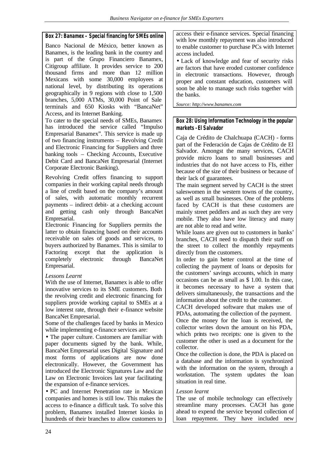#### **Box 27: Banamex – Special financing for SMEs online**

Banco Nacional de México, better known as Banamex, is the leading bank in the country and is part of the Grupo Financiero Banamex, Citigroup affiliate. It provides service to 200 thousand firms and more than 12 million Mexicans with some 30,000 employees at national level, by distributing its operations geographically in 9 regions with close to 1,500 branches, 5,000 ATMs, 30,000 Point of Sale terminals and 650 Kiosks with "BancaNet" Access, and its Internet Banking.

To cater to the special needs of SMEs, Banamex has introduced the service called "Impulso" Empresarial Banamex". This service is made up of two financing instruments – Revolving Credit and Electronic Financing for Suppliers and three banking tools – Checking Accounts, Executive Debit Card and BancaNet Empresarial (Internet Corporate Electronic Banking).

Revolving Credit offers financing to support companies in their working capital needs through a line of credit based on the company's amount of sales, with automatic monthly recurrent payments – indirect debit- at a checking account and getting cash only through BancaNet Empresarial.

Electronic Financing for Suppliers permits the latter to obtain financing based on their accounts receivable on sales of goods and services, to buyers authorized by Banamex. This is similar to Factoring except that the application is completely electronic through BancaNet Empresarial.

#### *Lessons Learnt*

With the use of Internet, Banamex is able to offer innovative services to its SME customers. Both the revolving credit and electronic financing for suppliers provide working capital to SMEs at a low interest rate, through their e-finance website BancaNet Empresarial.

Some of the challenges faced by banks in Mexico while implementing e-finance services are:

• The paper culture. Customers are familiar with paper documents signed by the bank. While, BancaNet Empresarial uses Digital Signature and most forms of applications are now done electronically. However, the Government has introduced the Electronic Signatures Law and the Law on Electronic Invoices last year facilitating the expansion of e-finance services.

• PC and Internet Penetration rate in Mexican companies and homes is still low. This makes the access to e-finance a difficult task. To solve this problem, Banamex installed Internet kiosks in hundreds of their branches to allow customers to

access their e-finance services. Special financing with low monthly repayment was also introduced to enable customer to purchase PCs with Internet access included.

• Lack of knowledge and fear of security risks are factors that have eroded customer confidence in electronic transactions. However, through proper and constant education, customers will soon be able to manage such risks together with the banks.

*Source: http://www.banamex.com*

#### **Box 28: Using Information Technology in the popular markets - El Salvador**

Caja de Crédito de Chalchuapa (CACH) - forms part of the Federación de Cajas de Crédito de El Salvador. Amongst the many services, CACH provide micro loans to small businesses and industries that do not have access to FIs, either because of the size of their business or because of their lack of guarantees.

The main segment served by CACH is the street saleswomen in the western towns of the country, as well as small businesses. One of the problems faced by CACH is that these customers are mainly street peddlers and as such they are very mobile. They also have low literacy and many are not able to read and write.

While loans are given out to customers in banks' branches, CACH need to dispatch their staff on the street to collect the monthly repayments directly from the customers.

In order to gain better control at the time of collecting the payment of loans or deposits for the customers' savings accounts, which in many occasions can be as small as \$ 1.00. In this case, it becomes necessary to have a system that delivers simultaneously, the transactions and the information about the credit to the customer.

CACH developed software that makes use of PDAs, automating the collection of the payment. Once the money for the loan is received, the collector writes down the amount on his PDA, which prints two receipts: one is given to the customer the other is used as a document for the collector.

Once the collection is done, the PDA is placed on a database and the information is synchronized with the information on the system, through a workstation. The system updates the loan situation in real time.

#### *Lesson learnt*

The use of mobile technology can effectively streamline many processes. CACH has gone ahead to expend the service beyond collection of loan repayment. They have included new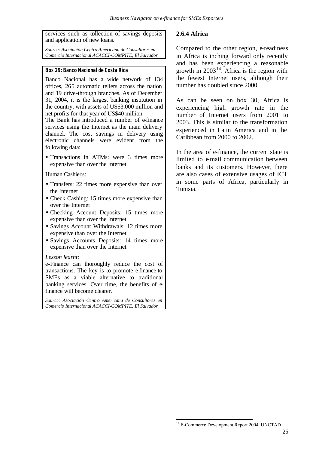services such as collection of savings deposits and application of new loans.

*Source: Asociación Centro Americana de Consultores en Comercio Internacional ACACCI-COMPITE, El Salvador*

#### **Box 29: Banco Nacional de Costa Rica**

Banco Nacional has a wide network of 134 offices, 265 automatic tellers across the nation and 19 drive-through branches. As of December 31, 2004, it is the largest banking institution in the country, with assets of US\$3.000 million and net profits for that year of US\$40 million.

The Bank has introduced a number of e-finance services using the Internet as the main delivery channel. The cost savings in delivery using electronic channels were evident from the following data:

ß Transactions in ATMs: were 3 times more expensive than over the Internet

Human Cashiers:

- Transfers: 22 times more expensive than over the Internet
- Check Cashing: 15 times more expensive than over the Internet
- Checking Account Deposits: 15 times more expensive than over the Internet
- Savings Account Withdrawals: 12 times more expensive than over the Internet
- Savings Accounts Deposits: 14 times more expensive than over the Internet

#### *Lesson learnt:*

e-Finance can thoroughly reduce the cost of transactions. The key is to promote e-finance to SMEs as a viable alternative to traditional banking services. Over time, the benefits of  $e$ finance will become clearer.

*Source: Asociación Centro Americana de Consultores en Comercio Internacional ACACCI-COMPITE, El Salvador*

#### **2.6.4 Africa**

Compared to the other region, e-readiness in Africa is inching forward only recently and has been experiencing a reasonable growth in  $2003^{14}$ . Africa is the region with the fewest Internet users, although their number has doubled since 2000.

As can be seen on box 30, Africa is experiencing high growth rate in the number of Internet users from 2001 to 2003. This is similar to the transformation experienced in Latin America and in the Caribbean from 2000 to 2002.

In the area of e-finance, the current state is limited to e-mail communication between banks and its customers. However, there are also cases of extensive usages of ICT in some parts of Africa, particularly in Tunisia.

l

<sup>&</sup>lt;sup>14</sup> E-Commerce Development Report 2004, UNCTAD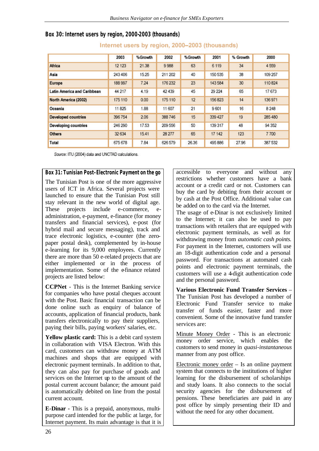|                             | 2003    | %Growth | 2002    | %Growth | 2001    | % Growth | 2000    |
|-----------------------------|---------|---------|---------|---------|---------|----------|---------|
| <b>Africa</b>               | 12 123  | 21.38   | 9988    | 63      | 6 1 1 9 | 34       | 4 5 5 9 |
| Asia                        | 243 406 | 15.25   | 211 202 | 40      | 150 535 | 38       | 109 257 |
| Europe                      | 188 997 | 7.24    | 176 232 | 23      | 143 584 | 30       | 110824  |
| Latin America and Caribbean | 44 217  | 4.19    | 42 439  | 45      | 29 224  | 65       | 17673   |
| North America (2002)        | 175 110 | 0.00    | 175 110 | 12      | 156823  | 14       | 136971  |
| Oceania                     | 11825   | 1.88    | 11 607  | 21      | 9601    | 16       | 8 2 4 8 |
| <b>Developed countries</b>  | 396754  | 2.06    | 388746  | 15      | 339 427 | 19       | 285480  |
| <b>Developing countries</b> | 246 290 | 17.53   | 209 556 | 50      | 139 317 | 48       | 94 35 2 |
| <b>Others</b>               | 32 634  | 15.41   | 28 277  | 65      | 17 142  | 123      | 7700    |
| Total                       | 675 678 | 7.84    | 626 579 | 26.36   | 495 886 | 27.96    | 387 532 |

### **Box 30: Internet users by region, 2000-2003 (thousands)**

Internet users by region, 2000-2003 (thousands)

Source: ITU (2004) data and UNCTAD calculations.

#### **Box 31: Tunisian Post–Electronic Payment on the go**

The Tunisian Post is one of the more aggressive users of ICT in Africa. Several projects were launched to ensure that the Tunisian Post still stay relevant in the new world of digital age. These projects include e-commerce, eadministration, e-payment, e-finance (for money transfers and financial services), e-post (for hybrid mail and secure messaging), track and trace electronic logistics, e-counter (the zeropaper postal desk), complemented by in-house e-learning for its 9,000 employees. Currently there are more than 50 e-related projects that are either implemented or in the process of implementation. Some of the e-finance related projects are listed below:

**CCPNet** - This is the Internet Banking service for companies who have postal cheques account with the Post. Basic financial transaction can be done online such as enquiry of balance of accounts, application of financial products, bank transfers electronically to pay their suppliers, paying their bills, paying workers' salaries, etc.

**Yellow plastic card:** This is a debit card system in collaboration with VISA Electron. With this card, customers can withdraw money at ATM machines and shops that are equipped with electronic payment terminals. In addition to that, they can also pay for purchase of goods and services on the Internet up to the amount of the postal current account balance; the amount paid is automatically debited on line from the postal current account.

**E-Dinar -** This is a prepaid, anonymous, multipurpose card intended for the public at large, for Internet payment. Its main advantage is that it is

accessible to everyone and without any restrictions whether customers have a bank account or a credit card or not. Customers can buy the card by debiting from their account or by cash at the Post Office. Additional value can be added on to the card via the Internet.

The usage of e-Dinar is not exclusively limited to the Internet; it can also be used to pay transactions with retailers that are equipped with electronic payment terminals, as well as for withdrawing money from *automatic cash points.*  For payment in the Internet, customers will use an 18-digit authentication code and a personal password. For transactions at automated cash points and electronic payment terminals, the customers will use a 4-digit authentication code and the personal password.

**Various Electronic Fund Transfer Services** – The Tunisian Post has developed a number of Electronic Fund Transfer service to make transfer of funds easier, faster and more convenient. Some of the innovative fund transfer services are:

Minute Money Order - This is an electronic money order service, which enables the customers to send money in *quasi-instantaneous*  manner from any post office.

Electronic money order – Is an online payment system that connects to the institutions of higher learning for the disbursement of scholarships and study loans. It also connects to the social security agencies for the disbursement of pensions. These beneficiaries are paid in any post office by simply presenting their ID and without the need for any other document.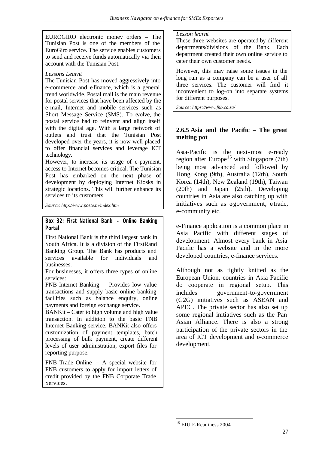EUROGIRO electronic money orders – The Tunisian Post is one of the members of the EuroGiro service. The service enables customers to send and receive funds automatically via their account with the Tunisian Post.

#### *Lessons Learnt*

The Tunisian Post has moved aggressively into e-commerce and e-finance, which is a general trend worldwide. Postal mail is the main revenue for postal services that have been affected by the e-mail, Internet and mobile services such as Short Message Service (SMS). To evolve, the postal service had to reinvent and align itself with the digital age. With a large network of outlets and trust that the Tunisian Post developed over the years, it is now well placed to offer financial services and leverage ICT technology.

However, to increase its usage of e-payment, access to Internet becomes critical. The Tunisian Post has embarked on the next phase of development by deploying Internet Kiosks in strategic locations. This will further enhance its services to its customers.

*Source: http://www.poste.tn/index.htm*

#### **Box 32: First National Bank – Online Banking Portal**

First National Bank is the third largest bank in South Africa. It is a division of the FirstRand Banking Group. The Bank has products and services available for individuals and businesses.

For businesses, it offers three types of online services:

FNB Internet Banking – Provides low value transactions and supply basic online banking facilities such as balance enquiry, online payments and foreign exchange service.

BANKit – Cater to high volume and high value transaction. In addition to the basic FNB Internet Banking service, BANKit also offers customization of payment templates, batch processing of bulk payment, create different levels of user administration, export files for reporting purpose.

FNB Trade Online – A special website for FNB customers to apply for import letters of credit provided by the FNB Corporate Trade Services.

#### *Lesson learnt*

These three websites are operated by different departments/divisions of the Bank. Each department created their own online service to cater their own customer needs.

However, this may raise some issues in the long run as a company can be a user of all three services. The customer will find it inconvenient to log-on into separate systems for different purposes.

*Source: https://www.fnb.co.za/*

#### **2.6.5 Asia and the Pacific – The great melting pot**

Asia-Pacific is the next-most e-ready region after Europe<sup>15</sup> with Singapore (7th) being most advanced and followed by Hong Kong (9th), Australia (12th), South Korea (14th), New Zealand (19th), Taiwan (20th) and Japan (25th). Developing countries in Asia are also catching up with initiatives such as egovernment, etrade, e-community etc.

e-Finance application is a common place in Asia Pacific with different stages of development. Almost every bank in Asia Pacific has a website and in the more developed countries, e-finance services.

Although not as tightly knitted as the European Union, countries in Asia Pacific do cooperate in regional setup. This includes government-to-government (G2G) initiatives such as ASEAN and APEC. The private sector has also set up some regional initiatives such as the Pan Asian Alliance. There is also a strong participation of the private sectors in the area of ICT development and e-commerce development.

l

<sup>15</sup> EIU E-Readiness 2004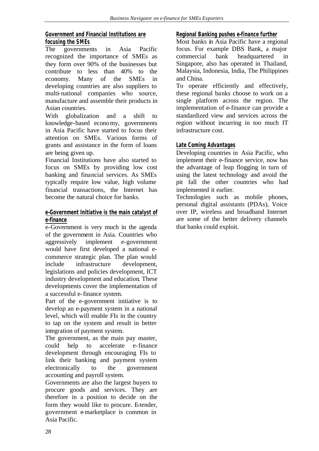## **Government and Financial Institutions are focusing the SMEs**

The governments in Asia Pacific recognized the importance of SMEs as they form over 90% of the businesses but contribute to less than 40% to the economy. Many of the SMEs in developing countries are also suppliers to multi-national companies who source, manufacture and assemble their products in Asian countries.

With globalization and a shift to knowledge-based economy, governments in Asia Pacific have started to focus their attention on SMEs. Various forms of grants and assistance in the form of loans are being given up.

Financial Institutions have also started to focus on SMEs by providing low cost banking and financial services. As SMEs typically require low value, high volume financial transactions, the Internet has become the natural choice for banks.

#### **e-Government Initiative is the main catalyst of e-finance**

e-Government is very much in the agenda of the government in Asia. Countries who aggressively implement e-government would have first developed a national ecommerce strategic plan. The plan would include infrastructure development, legislations and policies development, ICT industry development and education. These developments cover the implementation of a successful e-finance system.

Part of the e-government initiative is to develop an e-payment system in a national level, which will enable FIs in the country to tap on the system and result in better integration of payment system.

The government, as the main pay master, could help to accelerate e-finance development through encouraging FIs to link their banking and payment system electronically to the government accounting and payroll system.

Governments are also the largest buyers to procure goods and services. They are therefore in a position to decide on the form they would like to procure. E-tender, government e-marketplace is common in Asia Pacific.

### **Regional Banking pushes e-finance further**

Most banks in Asia Pacific have a regional focus. For example DBS Bank, a major commercial bank headquartered in Singapore, also has operated in Thailand, Malaysia, Indonesia, India, The Philippines and China.

To operate efficiently and effectively, these regional banks choose to work on a single platform across the region. The implementation of e-finance can provide a standardized view and services across the region without incurring in too much IT infrastructure cost.

## **Late Coming Advantages**

Developing countries in Asia Pacific, who implement their e-finance service, now has the advantage of leap flogging in turn of using the latest technology and avoid the pit fall the other countries who had implemented it earlier.

Technologies such as mobile phones, personal digital assistants (PDAs), Voice over IP, wireless and broadband Internet are some of the better delivery channels that banks could exploit.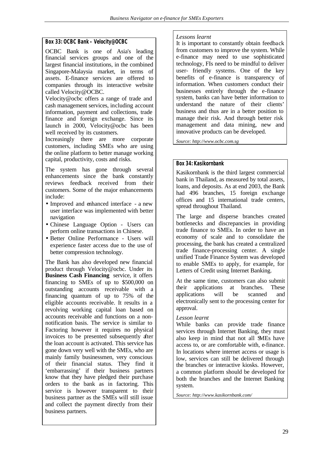#### **Box 33: OCBC Bank – Velocity@OCBC**

OCBC Bank is one of Asia's leading financial services groups and one of the largest financial institutions, in the combined Singapore-Malaysia market, in terms of assets. E-finance services are offered to companies through its interactive website called Velocity@OCBC.

Velocity@ocbc offers a range of trade and cash management services, including account information, payment and collections, trade finance and foreign exchange. Since its launch in 2000, Velocity@ocbc has been well received by its customers.

Increasingly there are more corporate customers, including SMEs who are using the online platform to better manage working capital, productivity, costs and risks.

The system has gone through several enhancements since the bank constantly reviews feedback received from their customers. Some of the major enhancements include:

- Improved and enhanced interface a new user interface was implemented with better navigation
- Chinese Language Option Users can perform online transactions in Chinese.
- Better Online Performance Users will experience faster access due to the use of better compression technology.

The Bank has also developed new financial product through Velocity@ocbc. Under its **Business Cash Financing** service, it offers financing to SMEs of up to \$500,000 on outstanding accounts receivable with a financing quantum of up to 75% of the eligible accounts receivable. It results in a revolving working capital loan based on accounts receivable and functions on a nonnotification basis. The service is similar to Factoring however it requires no physical invoices to be presented subsequently after the loan account is activated. This service has gone down very well with the SMEs, who are mainly family businessmen, very conscious of their financial status. They find it 'embarrassing' if their business partners know that they have pledged their purchase orders to the bank as in factoring. This service is however transparent to their business partner as the SMEs will still issue and collect the payment directly from their business partners.

#### *Lessons learnt*

It is important to constantly obtain feedback from customers to improve the system. While e-finance may need to use sophisticated technology, FIs need to be mindful to deliver user- friendly systems. One of the key benefits of e-finance is transparency of information. When customers conduct their businesses entirely through the e-finance system, banks can have better information to understand the nature of their clients' business and thus are in a better position to manage their risk. And through better risk management and data mining, new and innovative products can be developed.

*Source: http://www.ocbc.com.sg*

### **Box 34: Kasikornbank**

Kasikornbank is the third largest commercial bank in Thailand, as measured by total assets, loans, and deposits. As at end 2003, the Bank had 496 branches, 15 foreign exchange offices and 15 international trade centers, spread throughout Thailand.

The large and disperse branches created bottlenecks and discrepancies in providing trade finance to SMEs. In order to have an economy of scale and to consolidate the processing, the bank has created a centralized trade finance-processing center. A single unified Trade Finance System was developed to enable SMEs to apply, for example, for Letters of Credit using Internet Banking.

At the same time, customers can also submit their applications at branches. These applications will be scanned and electronically sent to the processing center for approval.

#### *Lesson learnt*

While banks can provide trade finance services through Internet Banking, they must also keep in mind that not all SMEs have access to, or are comfortable with, e-finance. In locations where internet access or usage is low, services can still be delivered through the branches or interactive kiosks. However, a common platform should be developed for both the branches and the Internet Banking system.

*Source: http://www.kasikornbank.com/*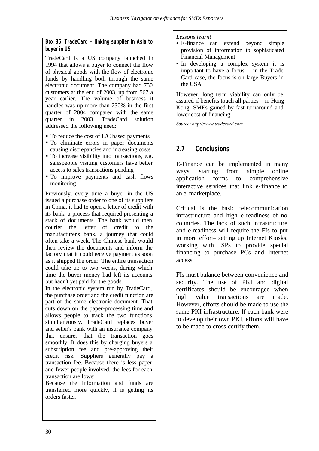#### **Box 35: TradeCard – linking supplier in Asia to buyer in US**

TradeCard is a US company launched in 1994 that allows a buyer to connect the flow of physical goods with the flow of electronic funds by handling both through the same electronic document. The company had 750 customers at the end of 2003, up from 567 a year earlier. The volume of business it handles was up more than 230% in the first quarter of 2004 compared with the same quarter in 2003. TradeCard solution addressed the following need:

- To reduce the cost of L/C based payments
- $\blacksquare$  To eliminate errors in paper documents causing discrepancies and increasing costs
- $\blacksquare$  To increase visibility into transactions, e.g. salespeople visiting customers have better access to sales transactions pending
- $\blacksquare$  To improve payments and cash flows monitoring

Previously, every time a buyer in the US issued a purchase order to one of its suppliers in China, it had to open a letter of credit with its bank, a process that required presenting a stack of documents. The bank would then courier the letter of credit to the manufacturer's bank, a journey that could often take a week. The Chinese bank would then review the documents and inform the factory that it could receive payment as soon as it shipped the order. The entire transaction could take up to two weeks, during which time the buyer money had left its accounts but hadn't yet paid for the goods.

In the electronic system run by TradeCard, the purchase order and the credit function are part of the same electronic document. That cuts down on the paper-processing time and allows people to track the two functions simultaneously. TradeCard replaces buyer and seller's bank with an insurance company that ensures that the transaction goes smoothly. It does this by charging buyers a subscription fee and pre-approving their credit risk. Suppliers generally pay a transaction fee. Because there is less paper and fewer people involved, the fees for each transaction are lower.

Because the information and funds are transferred more quickly, it is getting its orders faster.

#### *Lessons learnt*

- E-finance can extend beyond simple provision of information to sophisticated Financial Management
- In developing a complex system it is important to have a focus – in the Trade Card case, the focus is on large Buyers in the USA

However, long term viability can only be assured if benefits touch all parties – in Hong Kong, SMEs gained by fast turnaround and lower cost of financing.

*Source: http://www.tradecard.com*

## **2.7 Conclusions**

E-Finance can be implemented in many ways, starting from simple online application forms to comprehensive interactive services that link e-finance to an e-marketplace.

Critical is the basic telecommunication infrastructure and high e-readiness of no countries. The lack of such infrastructure and e-readiness will require the FIs to put in more effort– setting up Internet Kiosks, working with ISPs to provide special financing to purchase PCs and Internet access.

FIs must balance between convenience and security. The use of PKI and digital certificates should be encouraged when high value transactions are made. However, efforts should be made to use the same PKI infrastructure. If each bank were to develop their own PKI, efforts will have to be made to cross-certify them.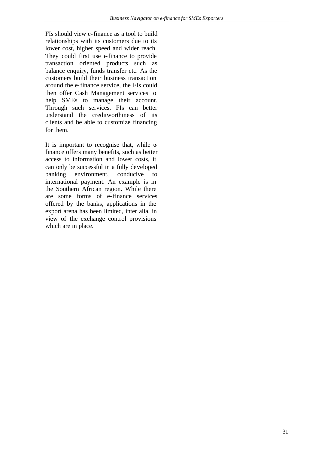FIs should view e-finance as a tool to build relationships with its customers due to its lower cost, higher speed and wider reach. They could first use e-finance to provide transaction oriented products such as balance enquiry, funds transfer etc. As the customers build their business transaction around the e-finance service, the FIs could then offer Cash Management services to help SMEs to manage their account. Through such services, FIs can better understand the creditworthiness of its clients and be able to customize financing for them.

It is important to recognise that, while efinance offers many benefits, such as better access to information and lower costs, it can only be successful in a fully developed banking environment, conducive to international payment. An example is in the Southern African region. While there are some forms of e-finance services offered by the banks, applications in the export arena has been limited, inter alia, in view of the exchange control provisions which are in place.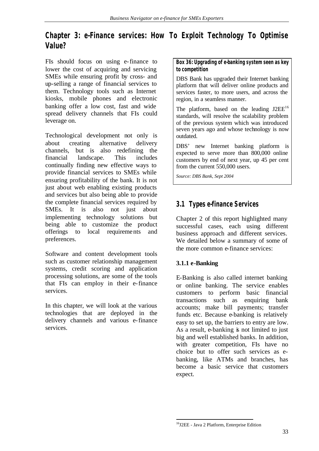# **Chapter 3: e-Finance services: How To Exploit Technology To Optimise Value?**

FIs should focus on using e-finance to lower the cost of acquiring and servicing SMEs while ensuring profit by cross- and up-selling a range of financial services to them. Technology tools such as Internet kiosks, mobile phones and electronic banking offer a low cost, fast and wide spread delivery channels that FIs could leverage on.

Technological development not only is about creating alternative delivery channels, but is also redefining the financial landscape. This includes continually finding new effective ways to provide financial services to SMEs while ensuring profitability of the bank. It is not just about web enabling existing products and services but also being able to provide the complete financial services required by SMEs. It is also not just about implementing technology solutions but being able to customize the product offerings to local requirements and preferences.

Software and content development tools such as customer relationship management systems, credit scoring and application processing solutions, are some of the tools that FIs can employ in their e-finance services.

In this chapter, we will look at the various technologies that are deployed in the delivery channels and various e-finance services.

**Box 36: Upgrading of e-banking system seen as key to competition**

DBS Bank has upgraded their Internet banking platform that will deliver online products and services faster, to more users, and across the region, in a seamless manner.

The platform, based on the leading  $J2EE^{16}$ standards, will resolve the scalability problem of the previous system which was introduced seven years ago and whose technology is now outdated.

DBS' new Internet banking platform is expected to serve more than 800,000 online customers by end of next year, up 45 per cent from the current 550,000 users.

*Source: DBS Bank, Sept 2004*

# **3.1 Types e-finance Services**

Chapter 2 of this report highlighted many successful cases, each using different business approach and different services. We detailed below a summary of some of the more common e-finance services:

# **3.1.1 e-Banking**

E-Banking is also called internet banking or online banking. The service enables customers to perform basic financial transactions such as enquiring bank accounts; make bill payments; transfer funds etc. Because e-banking is relatively easy to set up, the barriers to entry are low. As a result, e-banking is not limited to just big and well established banks. In addition, with greater competition, FIs have no choice but to offer such services as ebanking, like ATMs and branches, has become a basic service that customers expect.

l

<sup>16</sup>J2EE - Java 2 Platform, Enterprise Edition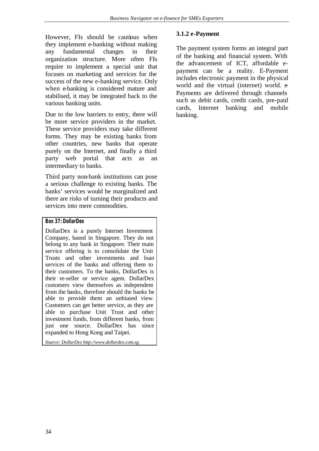However, FIs should be cautious when they implement e-banking without making any fundamental changes in their organization structure. More often FIs require to implement a special unit that focuses on marketing and services for the success of the new e-banking service. Only when e-banking is considered mature and stabilised, it may be integrated back to the various banking units.

Due to the low barriers to entry, there will be more service providers in the market. These service providers may take different forms. They may be existing banks from other countries, new banks that operate purely on the Internet, and finally a third party web portal that acts as an intermediary to banks.

Third party non-bank institutions can pose a serious challenge to existing banks. The banks' services would be marginalized and there are risks of turning their products and services into mere commodities.

#### **Box 37: DollarDex**

DollarDex is a purely Internet Investment Company, based in Singapore. They do not belong to any bank in Singapore. Their main service offering is to consolidate the Unit Trusts and other investments and loan services of the banks and offering them to their customers. To the banks, DollarDex is their re-seller or service agent. DollarDex customers view themselves as independent from the banks, therefore should the banks be able to provide them an unbiased view. Customers can get better service, as they are able to purchase Unit Trust and other investment funds, from different banks, from just one source. DollarDex has since expanded to Hong Kong and Taipei.

*Source: DollarDex http://www.dollardex.com.sg*

# **3.1.2 e-Payment**

The payment system forms an integral part of the banking and financial system. With the advancement of ICT, affordable epayment can be a reality. E-Payment includes electronic payment in the physical world and the virtual (internet) world. e-Payments are delivered through channels such as debit cards, credit cards, pre-paid cards, Internet banking and mobile banking.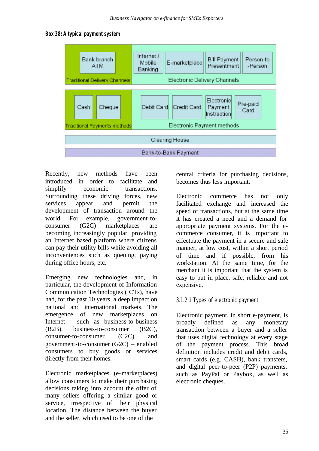#### **Box 38: A typical payment system**



Recently, new methods have been introduced in order to facilitate and simplify economic transactions. Surrounding these driving forces, new services appear and permit the development of transaction around the world. For example, government-toconsumer (G2C) marketplaces are becoming increasingly popular, providing an Internet based platform where citizens can pay their utility bills while avoiding all inconveniences such as queuing, paying during office hours, etc.

Emerging new technologies and, in particular, the development of Information Communication Technologies (ICTs), have had, for the past 10 years, a deep impact on national and international markets. The emergence of new marketplaces on Internet - such as business-to-business (B2B), business-to-consumer (B2C), consumer-to-consumer (C2C) and government-to-consumer (G2C) – enabled consumers to buy goods or services directly from their homes.

Electronic marketplaces (e-marketplaces) allow consumers to make their purchasing decisions taking into account the offer of many sellers offering a similar good or service, irrespective of their physical location. The distance between the buyer and the seller, which used to be one of the

central criteria for purchasing decisions, becomes thus less important.

Electronic commerce has not only facilitated exchange and increased the speed of transactions, but at the same time it has created a need and a demand for appropriate payment systems. For the ecommerce consumer, it is important to effectuate the payment in a secure and safe manner, at low cost, within a short period of time and if possible, from his workstation. At the same time, for the merchant it is important that the system is easy to put in place, safe, reliable and not expensive.

# 3.1.2.1 Types of electronic payment

Electronic payment, in short e-payment, is broadly defined as any monetary transaction between a buyer and a seller that uses digital technology at every stage of the payment process. This broad definition includes credit and debit cards, smart cards (e.g. CASH), bank transfers, and digital peer-to-peer (P2P) payments, such as PayPal or Paybox, as well as electronic cheques.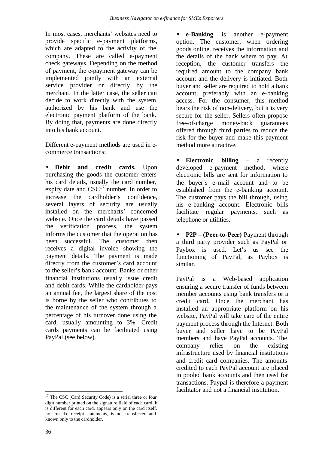In most cases, merchants' websites need to provide specific e-payment platforms, which are adapted to the activity of the company. These are called e-payment check gateways. Depending on the method of payment, the e-payment gateway can be implemented jointly with an external service provider or directly by the merchant. In the latter case, the seller can decide to work directly with the system authorized by his bank and use the electronic payment platform of the bank. By doing that, payments are done directly into his bank account.

Different e-payment methods are used in ecommerce transactions:

• **Debit and credit cards.** Upon purchasing the goods the customer enters his card details, usually the card number, expiry date and  $CSC^{17}$  number. In order to increase the cardholder's confidence, several layers of security are usually installed on the merchants' concerned website. Once the card details have passed the verification process, the system informs the customer that the operation has been successful. The customer then receives a digital invoice showing the payment details. The payment is made directly from the customer's card account to the seller's bank account. Banks or other financial institutions usually issue credit and debit cards. While the cardholder pays an annual fee, the largest share of the cost is borne by the seller who contributes to the maintenance of the system through a percentage of his turnover done using the card, usually amounting to 3%. Credit cards payments can be facilitated using PayPal (see below).

l <sup>17</sup> The CSC (Card Security Code) is a serial three or four digit number printed on the signature field of each card. It is different for each card, appears only on the card itself, not on the receipt statements, is not transferred and known only to the cardholder.

• **e-Banking** is another e-payment option. The customer, when ordering goods online, receives the information and the details of the bank where to pay. At reception, the customer transfers the required amount to the company bank account and the delivery is initiated. Both buyer and seller are required to hold a bank account, preferably with an e-banking access. For the consumer, this method bears the risk of non-delivery, but it is very secure for the seller. Sellers often propose free-of-charge money-back guarantees offered through third parties to reduce the risk for the buyer and make this payment method more attractive.

• **Electronic billing** – a recently developed e-payment method, where electronic bills are sent for information to the buyer's e-mail account and to be established from the e-banking account. The customer pays the bill through, using his e-banking account. Electronic bills facilitate regular payments, such as telephone or utilities.

• **P2P – (Peer-to-Peer)** Payment through a third party provider such as PayPal or Paybox is used. Let's us see the functioning of PayPal, as Paybox is similar.

PayPal is a Web-based application ensuring a secure transfer of funds between member accounts using bank transfers or a credit card. Once the merchant has installed an appropriate platform on his website, PayPal will take care of the entire payment process through the Internet. Both buyer and seller have to be PayPal members and have PayPal accounts. The company relies on the existing infrastructure used by financial institutions and credit card companies. The amounts credited to each PayPal account are placed in pooled bank accounts and then used for transactions. Paypal is therefore a payment facilitator and not a financial institution.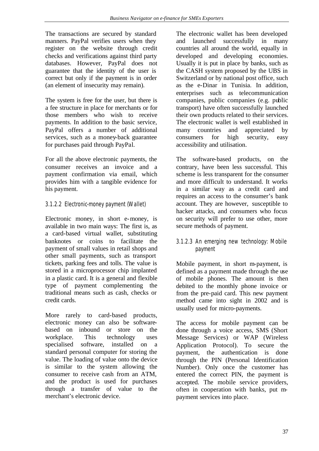The transactions are secured by standard manners. PayPal verifies users when they register on the website through credit checks and verifications against third party databases. However, PayPal does not guarantee that the identity of the user is correct but only if the payment is in order (an element of insecurity may remain).

The system is free for the user, but there is a fee structure in place for merchants or for those members who wish to receive payments. In addition to the basic service, PayPal offers a number of additional services, such as a money-back guarantee for purchases paid through PayPal.

For all the above electronic payments, the consumer receives an invoice and a payment confirmation via email, which provides him with a tangible evidence for his payment.

# 3.1.2.2 Electronic-money payment (Wallet)

Electronic money, in short e-money, is available in two main ways: The first is, as a card-based virtual wallet, substituting banknotes or coins to facilitate the payment of small values in retail shops and other small payments, such as transport tickets, parking fees and tolls. The value is stored in a microprocessor chip implanted in a plastic card. It is a general and flexible type of payment complementing the traditional means such as cash, checks or credit cards.

More rarely to card-based products, electronic money can also be softwarebased on inbound or store on the workplace. This technology uses specialised software, installed on a standard personal computer for storing the value. The loading of value onto the device is similar to the system allowing the consumer to receive cash from an ATM, and the product is used for purchases through a transfer of value to the merchant's electronic device.

The electronic wallet has been developed and launched successfully in many countries all around the world, equally in developed and developing economies. Usually it is put in place by banks, such as the CASH system proposed by the UBS in Switzerland or by national post office, such as the e-Dinar in Tunisia. In addition, enterprises such as telecommunication companies, public companies (e.g. public transport) have often successfully launched their own products related to their services. The electronic wallet is well established in many countries and appreciated by consumers for high security, easy accessibility and utilisation.

The software-based products, on the contrary, have been less successful. This scheme is less transparent for the consumer and more difficult to understand. It works in a similar way as a credit card and requires an access to the consumer's bank account. They are however, susceptible to hacker attacks, and consumers who focus on security will prefer to use other, more secure methods of payment.

# 3.1.2.3 An emerging new technology: Mobile payment

Mobile payment, in short m-payment, is defined as a payment made through the use of mobile phones. The amount is then debited to the monthly phone invoice or from the pre-paid card. This new payment method came into sight in 2002 and is usually used for micro-payments.

The access for mobile payment can be done through a voice access, SMS (Short Message Services) or WAP (Wireless Application Protocol). To secure the payment, the authentication is done through the PIN (Personal Identification Number). Only once the customer has entered the correct PIN, the payment is accepted. The mobile service providers, often in cooperation with banks, put mpayment services into place.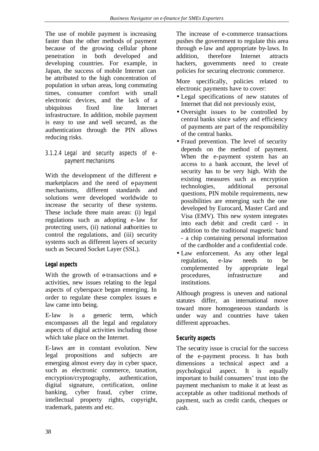The use of mobile payment is increasing faster than the other methods of payment because of the growing cellular phone penetration in both developed and developing countries. For example, in Japan, the success of mobile Internet can be attributed to the high concentration of population in urban areas, long commuting times, consumer comfort with small electronic devices, and the lack of a ubiquitous fixed line Internet infrastructure. In addition, mobile payment is easy to use and well secured, as the authentication through the PIN allows reducing risks.

# 3.1.2.4 Legal and security aspects of epayment mechanisms

With the development of the different emarketplaces and the need of epayment mechanisms, different standards and solutions were developed worldwide to increase the security of these systems. These include three main areas: (i) legal regulations such as adopting e-law for protecting users, (ii) national authorities to control the regulations, and (iii) security systems such as different layers of security such as Secured Socket Layer (SSL).

# **Legal aspects**

With the growth of e-transactions and  $e$ activities, new issues relating to the legal aspects of cyberspace began emerging. In order to regulate these complex issues elaw came into being.

E-law is a generic term, which encompasses all the legal and regulatory aspects of digital activities including those which take place on the Internet.

E-laws are in constant evolution. New legal propositions and subjects are emerging almost every day in cyber space, such as electronic commerce, taxation, encryption/cryptography, authentication, digital signature, certification, online banking, cyber fraud, cyber crime, intellectual property rights, copyright, trademark, patents and etc.

The increase of e-commerce transactions pushes the government to regulate this area through e-law and appropriate by-laws. In addition, therefore Internet attracts hackers, governments need to create policies for securing electronic commerce.

More specifically, policies related to electronic payments have to cover:

- Legal specifications of new statutes of Internet that did not previously exist,
- Oversight issues to be controlled by central banks since safety and efficiency of payments are part of the responsibility of the central banks.
- Fraud prevention. The level of security depends on the method of payment. When the e-payment system has an access to a bank account, the level of security has to be very high. With the existing measures such as encryption technologies, additional personal questions, PIN mobile requirements, new possibilities are emerging such the one developed by Eurocard, Master Card and Visa (EMV). This new system integrates into each debit and credit card - in addition to the traditional magnetic band - a chip containing personal information of the cardholder and a confidential code.
- Law enforcement. As any other legal regulation, e-law needs to be complemented by appropriate legal procedures, infrastructure and institutions.

Although progress is uneven and national statutes differ, an international move toward more homogeneous standards is under way and countries have taken different approaches.

# **Security aspects**

The security issue is crucial for the success of the e-payment process. It has both dimensions a technical aspect and a psychological aspect. It is equally important to build consumers' trust into the payment mechanism to make it at least as acceptable as other traditional methods of payment, such as credit cards, cheques or cash.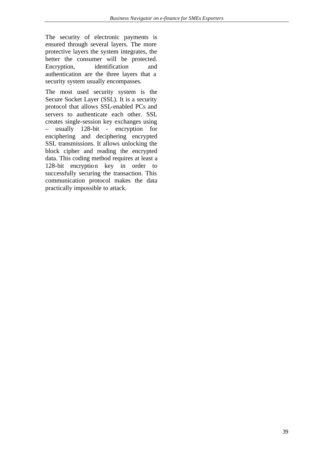The security of electronic payments is ensured through several layers. The more protective layers the system integrates, the better the consumer will be protected. Encryption, identification and authentication are the three layers that a security system usually encompasses.

The most used security system is the Secure Socket Layer (SSL). It is a security protocol that allows SSL-enabled PCs and servers to authenticate each other. SSL creates single-session key exchanges using – usually 128-bit - encryption for enciphering and deciphering encrypted SSL transmissions. It allows unlocking the block cipher and reading the encrypted data. This coding method requires at least a 128-bit encryption key in order to successfully securing the transaction. This communication protocol makes the data practically impossible to attack.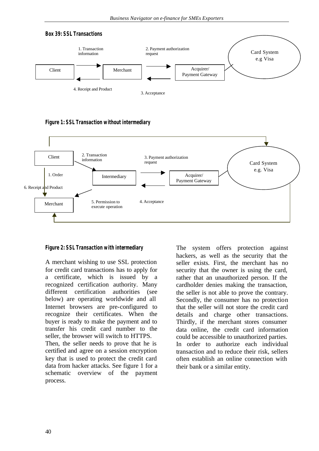

**Figure 1: SSL Transaction without intermediary**



#### **Figure 2: SSL Transaction with intermediary**

A merchant wishing to use SSL protection for credit card transactions has to apply for a certificate, which is issued by a recognized certification authority. Many different certification authorities (see below) are operating worldwide and all Internet browsers are pre-configured to recognize their certificates. When the buyer is ready to make the payment and to transfer his credit card number to the seller, the browser will switch to HTTPS. Then, the seller needs to prove that he is certified and agree on a session encryption key that is used to protect the credit card data from hacker attacks. See figure 1 for a schematic overview of the payment The system offers protection against hackers, as well as the security that the seller exists. First, the merchant has no security that the owner is using the card, rather that an unauthorized person. If the cardholder denies making the transaction, the seller is not able to prove the contrary. Secondly, the consumer has no protection that the seller will not store the credit card details and charge other transactions. Thirdly, if the merchant stores consumer data online, the credit card information could be accessible to unauthorized parties. In order to authorize each individual transaction and to reduce their risk, sellers often establish an online connection with their bank or a similar entity.

process.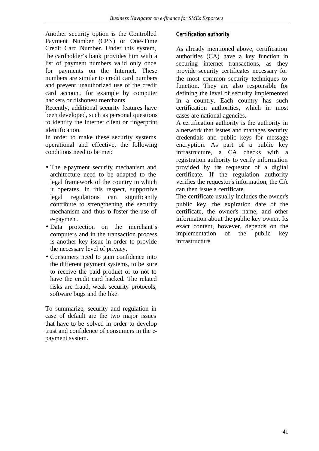Another security option is the Controlled Payment Number (CPN) or One-Time Credit Card Number. Under this system, the cardholder's bank provides him with a list of payment numbers valid only once for payments on the Internet. These numbers are similar to credit card numbers and prevent unauthorized use of the credit card account, for example by computer hackers or dishonest merchants

Recently, additional security features have been developed, such as personal questions to identify the Internet client or fingerprint identification.

In order to make these security systems operational and effective, the following conditions need to be met:

- The e-payment security mechanism and architecture need to be adapted to the legal framework of the country in which it operates. In this respect, supportive legal regulations can significantly contribute to strengthening the security mechanism and thus to foster the use of e-payment.
- Data protection on the merchant's computers and in the transaction process is another key issue in order to provide the necessary level of privacy.
- Consumers need to gain confidence into the different payment systems, to be sure to receive the paid product or to not to have the credit card hacked. The related risks are fraud, weak security protocols, software bugs and the like.

To summarize, security and regulation in case of default are the two major issues that have to be solved in order to develop trust and confidence of consumers in the epayment system.

# **Certification authority**

As already mentioned above, certification authorities (CA) have a key function in securing internet transactions, as they provide security certificates necessary for the most common security techniques to function. They are also responsible for defining the level of security implemented in a country. Each country has such certification authorities, which in most cases are national agencies.

A certification authority is the authority in a network that issues and manages security credentials and public keys for message encryption. As part of a public key infrastructure, a CA checks with a registration authority to verify information provided by the requestor of a digital certificate. If the regulation authority verifies the requestor's information, the CA can then issue a certificate.

The certificate usually includes the owner's public key, the expiration date of the certificate, the owner's name, and other information about the public key owner. Its exact content, however, depends on the implementation of the public key infrastructure.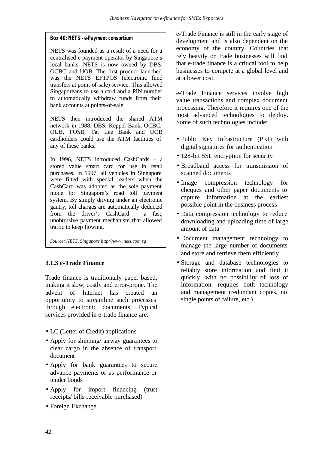# **Box 40: NETS - e-Payment consortium**

NETS was founded as a result of a need for a centralised e-payment operator by Singapore's local banks. NETS is now owned by DBS, OCBC and UOB. The first product launched was the NETS EFTPOS (electronic fund transfers at point-of-sale) service. This allowed Singaporeans to use a card and a PIN number to automatically withdraw funds from their bank accounts at points-of-sale.

NETS then introduced the shared ATM network in 1988. DBS, Keppel Bank, OCBC, OUB, POSB, Tat Lee Bank and UOB cardholders could use the ATM facilities of any of these banks.

In 1996, NETS introduced CashCards – a stored value smart card for use in retail purchases. In 1997, all vehicles in Singapore were fitted with special readers when the CashCard was adopted as the sole payment mode for Singapore's road toll payment system. By simply driving under an electronic gantry, toll charges are automatically deducted from the driver's CashCard - a fast, unobtrusive payment mechanism that allowed traffic to keep flowing.

*Source: NETS, Singapore http://www.nets.com.sg*

# **3.1.3 e-Trade Finance**

Trade finance is traditionally paper-based, making it slow, costly and error-prone. The advent of Internet has created an opportunity to streamline such processes through electronic documents. Typical services provided in e-trade finance are:

- LC (Letter of Credit) applications
- Apply for shipping/ airway guarantees to clear cargo in the absence of transport document
- Apply for bank guarantees to secure advance payments or as performance or tender bonds
- Apply for import financing (trust receipts/ bills receivable purchased)
- Foreign Exchange

e-Trade Finance is still in the early stage of development and is also dependent on the economy of the country. Countries that rely heavily on trade businesses will find that e-trade finance is a critical tool to help businesses to compete at a global level and at a lower cost.

e-Trade Finance services involve high value transactions and complex document processing. Therefore it requires one of the most advanced technologies to deploy. Some of such technologies include:

- Public Key Infrastructure (PKI) with digital signatures for authentication
- 128-bit SSL encryption for security
- Broadband access for transmission of scanned documents
- Image compression technology for cheques and other paper documents to capture information at the earliest possible point in the business process
- Data compression technology to reduce downloading and uploading time of large amount of data
- Document management technology to manage the large number of documents and store and retrieve them efficiently
- Storage and database technologies to reliably store information and find it quickly, with no possibility of loss of information: requires both technology and management (redundant copies, no single points of failure, etc.)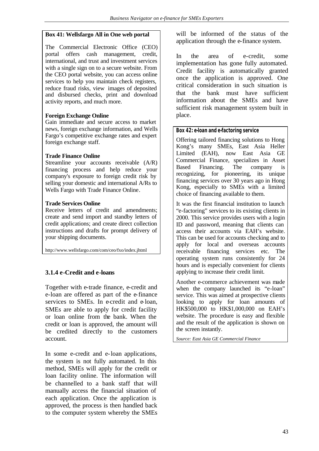#### **Box 41: Wellsfargo All in One web portal**

The Commercial Electronic Office (CEO) portal offers cash management, credit, international, and trust and investment services with a single sign on to a secure website. From the CEO portal website, you can access online services to help you maintain check registers, reduce fraud risks, view images of deposited and disbursed checks, print and download activity reports, and much more.

#### **Foreign Exchange Online**

Gain immediate and secure access to market news, foreign exchange information, and Wells Fargo's competitive exchange rates and expert foreign exchange staff.

#### **Trade Finance Online**

Streamline your accounts receivable (A/R) financing process and help reduce your company's exposure to foreign credit risk by selling your domestic and international A/Rs to Wells Fargo with Trade Finance Online.

#### **Trade Services Online**

Receive letters of credit and amendments; create and send import and standby letters of credit applications; and create direct collection instructions and drafts for prompt delivery of your shipping documents.

http://www.wellsfargo.com/com/ceo/fxo/index.jhtml

# **3.1.4 e-Credit and e-loans**

Together with e-trade finance, e-credit and e-loan are offered as part of the e-finance services to SMEs. In e-credit and e-loan, SMEs are able to apply for credit facility or loan online from the bank. When the credit or loan is approved, the amount will be credited directly to the customers account.

In some e-credit and e-loan applications, the system is not fully automated. In this method, SMEs will apply for the credit or loan facility online. The information will be channelled to a bank staff that will manually access the financial situation of each application. Once the application is approved, the process is then handled back to the computer system whereby the SMEs will be informed of the status of the application through the e-finance system.

In the area of e-credit, some implementation has gone fully automated. Credit facility is automatically granted once the application is approved. One critical consideration in such situation is that the bank must have sufficient information about the SMEs and have sufficient risk management system built in place.

#### **Box 42: e-loan and e-factoring service**

Offering tailored financing solutions to Hong Kong's many SMEs, East Asia Heller Limited (EAH), now East Asia GE Commercial Finance, specializes in Asset Based Financing. The company is recognizing, for pioneering, its unique financing services over 30 years ago in Hong Kong, especially to SMEs with a limited choice of financing available to them.

It was the first financial institution to launch "e-factoring" services to its existing clients in 2000. This service provides users with a login ID and password, meaning that clients can access their accounts via EAH's website. This can be used for accounts checking and to apply for local and overseas accounts receivable financing services etc. The operating system runs consistently for 24 hours and is especially convenient for clients applying to increase their credit limit.

Another e-commerce achievement was made when the company launched its "e-loan" service. This was aimed at prospective clients looking to apply for loan amounts of HK\$500,000 to HK\$1,000,000 on EAH's website. The procedure is easy and flexible and the result of the application is shown on the screen instantly.

*Source: East Asia GE Commercial Finance*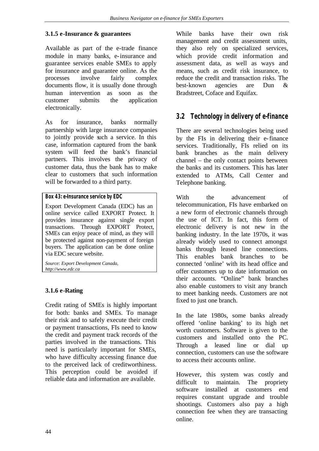# **3.1.5 e-Insurance & guarantees**

Available as part of the e-trade finance module in many banks, e-insurance and guarantee services enable SMEs to apply for insurance and guarantee online. As the processes involve fairly complex documents flow, it is usually done through human intervention as soon as the customer submits the application electronically.

As for insurance, banks normally partnership with large insurance companies to jointly provide such a service. In this case, information captured from the bank system will feed the bank's financial partners. This involves the privacy of customer data, thus the bank has to make clear to customers that such information will be forwarded to a third party.

Export Development Canada (EDC) has an online service called EXPORT Protect. It provides insurance against single export transactions. Through EXPORT Protect, SMEs can enjoy peace of mind, as they will be protected against non-payment of foreign buyers. The application can be done online via EDC secure website.

*Source: Export Development Canada, http://www.edc.ca*

# **3.1.6 e-Rating**

Credit rating of SMEs is highly important for both: banks and SMEs. To manage their risk and to safely execute their credit or payment transactions, FIs need to know the credit and payment track records of the parties involved in the transactions. This need is particularly important for SMEs, who have difficulty accessing finance due to the perceived lack of creditworthiness. This perception could be avoided if reliable data and information are available.

While banks have their own risk management and credit assessment units, they also rely on specialized services, which provide credit information and assessment data, as well as ways and means, such as credit risk insurance, to reduce the credit and transaction risks. The best-known agencies are Dun & Bradstreet, Coface and Equifax.

# **3.2 Technology in delivery of e-finance**

There are several technologies being used by the FIs in delivering their e-finance services. Traditionally, FIs relied on its bank branches as the main delivery channel – the only contact points between the banks and its customers. This has later extended to ATMs, Call Center and Telephone banking.

With the advancement of telecommunication, FIs have embarked on a new form of electronic channels through the use of ICT. In fact, this form of electronic delivery is not new in the banking industry. In the late 1970s, it was already widely used to connect amongst banks through leased line connections. This enables bank branches to be connected 'online' with its head office and offer customers up to date information on their accounts. "Online" bank branches also enable customers to visit any branch to meet banking needs. Customers are not fixed to just one branch.

In the late 1980s, some banks already offered 'online banking' to its high net worth customers. Software is given to the customers and installed onto the PC. Through a leased line or dial up connection, customers can use the software to access their accounts online.

However, this system was costly and difficult to maintain. The propriety software installed at customers end requires constant upgrade and trouble shootings. Customers also pay a high connection fee when they are transacting online.

**Box 43: e-Insurance service by EDC**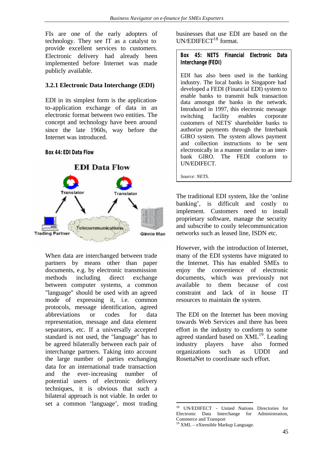FIs are one of the early adopters of technology. They see IT as a catalyst to provide excellent services to customers. Electronic delivery had already been implemented before Internet was made publicly available.

# **3.2.1 Electronic Data Interchange (EDI)**

EDI in its simplest form is the applicationto-application exchange of data in an electronic format between two entities. The concept and technology have been around since the late 1960s, way before the Internet was introduced.

#### **Box 44: EDI Data Flow**



When data are interchanged between trade partners by means other than paper documents, e.g. by electronic transmission methods including direct exchange between computer systems, a common "language" should be used with an agreed mode of expressing it, i.e. common protocols, message identification, agreed abbreviations or codes for data representation, message and data element separators, etc. If a universally accepted standard is not used, the "language" has to be agreed bilaterally between each pair of interchange partners. Taking into account the large number of parties exchanging data for an international trade transaction and the ever-increasing number of potential users of electronic delivery techniques, it is obvious that such a bilateral approach is not viable. In order to set a common 'language', most trading businesses that use EDI are based on the  $UN/EDIFECT<sup>18</sup> format.$ 

**Box 45: NETS Financial Electronic Data Interchange (FEDI)**

EDI has also been used in the banking industry. The local banks in Singapore had developed a FEDI (Financial EDI) system to enable banks to transmit bulk transaction data amongst the banks in the network. Introduced in 1997, this electronic message switching facility enables corporate customers of NETS' shareholder banks to authorize payments through the Interbank GIRO system. The system allows payment and collection instructions to be sent electronically in a manner similar to an interbank GIRO. The FEDI conform to UN/EDIFECT.

*Source: NETS.*

The traditional EDI system, like the 'online banking', is difficult and costly to implement. Customers need to install proprietary software, manage the security and subscribe to costly telecommunication networks such as leased line, ISDN etc.

However, with the introduction of Internet, many of the EDI systems have migrated to the Internet. This has enabled SMEs to enjoy the convenience of electronic documents, which was previously not available to them because of cost constraint and lack of in house IT resources to maintain the system.

The EDI on the Internet has been moving towards Web Services and there has been effort in the industry to conform to some agreed standard based on  $XML<sup>19</sup>$ . Leading industry players have also formed organizations such as UDDI and RosettaNet to coordinate such effort.

l <sup>18</sup> UN/EDIFECT - United Nations Directories for Electronic Data Interchange for Administration, Commerce and Transport

<sup>19</sup> XML – eXtensible Markup Language.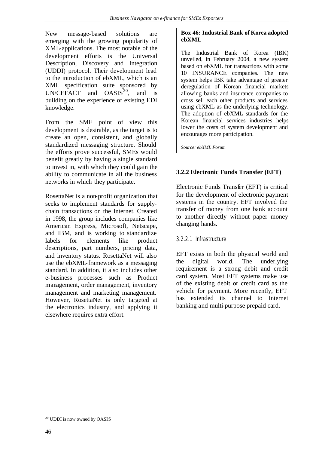New message-based solutions are emerging with the growing popularity of XML-applications. The most notable of the development efforts is the Universal Description, Discovery and Integration (UDDI) protocol. Their development lead to the introduction of ebXML, which is an XML specification suite sponsored by  $UN/CEPT$  and  $OASIS<sup>20</sup>$ , and is building on the experience of existing EDI knowledge.

From the SME point of view this development is desirable, as the target is to create an open, consistent, and globally standardized messaging structure. Should the efforts prove successful, SMEs would benefit greatly by having a single standard to invest in, with which they could gain the ability to communicate in all the business networks in which they participate.

RosettaNet is a non-profit organization that seeks to implement standards for supplychain transactions on the Internet. Created in 1998, the group includes companies like American Express, Microsoft, Netscape, and IBM, and is working to standardize labels for elements like product descriptions, part numbers, pricing data, and inventory status. RosettaNet will also use the ebXML-framework as a messaging standard. In addition, it also includes other e-business processes such as Product management, order management, inventory management and marketing management. However, RosettaNet is only targeted at the electronics industry, and applying it elsewhere requires extra effort.

# **Box 46: Industrial Bank of Korea adopted ebXML**

The Industrial Bank of Korea (IBK) unveiled, in February 2004, a new system based on ebXML for transactions with some 10 INSURANCE companies. The new system helps IBK take advantage of greater deregulation of Korean financial markets allowing banks and insurance companies to cross sell each other products and services using ebXML as the underlying technology. The adoption of ebXML standards for the Korean financial services industries helps lower the costs of system development and encourages more participation.

*Source: ebXML Forum*

# **3.2.2 Electronic Funds Transfer (EFT)**

Electronic Funds Transfer (EFT) is critical for the development of electronic payment systems in the country. EFT involved the transfer of money from one bank account to another directly without paper money changing hands.

# 3.2.2.1 Infrastructure

EFT exists in both the physical world and the digital world. The underlying requirement is a strong debit and credit card system. Most EFT systems make use of the existing debit or credit card as the vehicle for payment. More recently, EFT has extended its channel to Internet banking and multi-purpose prepaid card.

l  $20$  UDDI is now owned by OASIS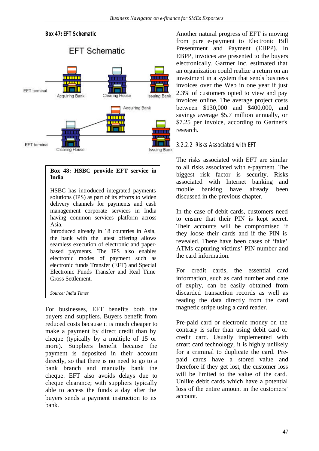

#### **Box 48: HSBC provide EFT service in India**

HSBC has introduced integrated payments solutions (IPS) as part of its efforts to widen delivery channels for payments and cash management corporate services in India having common services platform across Asia.

Introduced already in 18 countries in Asia, the bank with the latest offering allows seamless execution of electronic and paperbased payments. The IPS also enables electronic modes of payment such as electronic funds Transfer (EFT) and Special Electronic Funds Transfer and Real Time Gross Settlement.

*Source: India Times*

For businesses, EFT benefits both the buyers and suppliers. Buyers benefit from reduced costs because it is much cheaper to make a payment by direct credit than by cheque (typically by a multiple of 15 or more). Suppliers benefit because the payment is deposited in their account directly, so that there is no need to go to a bank branch and manually bank the cheque. EFT also avoids delays due to cheque clearance; with suppliers typically able to access the funds a day after the buyers sends a payment instruction to its bank.

Another natural progress of EFT is moving from pure e-payment to Electronic Bill Presentment and Payment (EBPP). In EBPP, invoices are presented to the buyers electronically. Gartner Inc. estimated that an organization could realize a return on an investment in a system that sends business invoices over the Web in one year if just 2.3% of customers opted to view and pay invoices online. The average project costs between \$130,000 and \$400,000, and savings average \$5.7 million annually, or \$7.25 per invoice, according to Gartner's research.

# 3.2.2.2 Risks Associated with EFT

The risks associated with EFT are similar to all risks associated with e-payment. The biggest risk factor is security. Risks associated with Internet banking and mobile banking have already been discussed in the previous chapter.

In the case of debit cards, customers need to ensure that their PIN is kept secret. Their accounts will be compromised if they loose their cards and if the PIN is revealed. There have been cases of 'fake' ATMs capturing victims' PIN number and the card information.

For credit cards, the essential card information, such as card number and date of expiry, can be easily obtained from discarded transaction records as well as reading the data directly from the card magnetic stripe using a card reader.

Pre-paid card or electronic money on the contrary is safer than using debit card or credit card. Usually implemented with smart card technology, it is highly unlikely for a criminal to duplicate the card. Prepaid cards have a stored value and therefore if they get lost, the customer loss will be limited to the value of the card. Unlike debit cards which have a potential loss of the entire amount in the customers' account.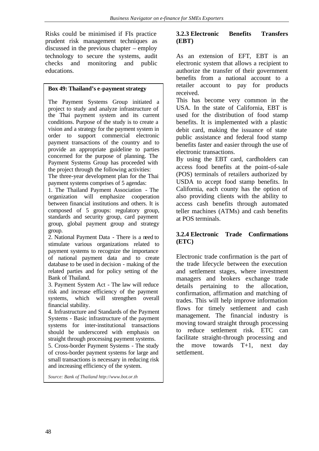Risks could be minimised if FIs practice prudent risk management techniques as discussed in the previous chapter – employ technology to secure the systems, audit checks and monitoring and public educations.

#### **Box 49: Thailand's e-payment strategy**

The Payment Systems Group initiated a project to study and analyze infrastructure of the Thai payment system and its current conditions. Purpose of the study is to create a vision and a strategy for the payment system in order to support commercial electronic payment transactions of the country and to provide an appropriate guideline to parties concerned for the purpose of planning. The Payment Systems Group has proceeded with the project through the following activities:

The three-year development plan for the Thai payment systems comprises of 5 agendas:

1. The Thailand Payment Association - The organization will emphasize cooperation between financial institutions and others. It is composed of 5 groups: regulatory group, standards and security group, card payment group, global payment group and strategy group.

2. National Payment Data - There is a need to stimulate various organizations related to payment systems to recognize the importance of national payment data and to create database to be used in decision - making of the related parties and for policy setting of the Bank of Thailand.

3. Payment System Act - The law will reduce risk and increase efficiency of the payment systems, which will strengthen overall financial stability.

4. Infrastructure and Standards of the Payment Systems - Basic infrastructure of the payment systems for inter-institutional transactions should be underscored with emphasis on straight through processing payment systems.

5. Cross-border Payment Systems - The study of cross-border payment systems for large and small transactions is necessary in reducing risk and increasing efficiency of the system.

*Source: Bank of Thailand http://www.bot.or.th*

# **3.2.3 Electronic Benefits Transfers (EBT)**

As an extension of EFT, EBT is an electronic system that allows a recipient to authorize the transfer of their government benefits from a national account to a retailer account to pay for products received.

This has become very common in the USA. In the state of California, EBT is used for the distribution of food stamp benefits. It is implemented with a plastic debit card, making the issuance of state public assistance and federal food stamp benefits faster and easier through the use of electronic transactions.

By using the EBT card, cardholders can access food benefits at the point-of-sale (POS) terminals of retailers authorized by USDA to accept food stamp benefits. In California, each county has the option of also providing clients with the ability to access cash benefits through automated teller machines (ATMs) and cash benefits at POS terminals.

# **3.2.4 Electronic Trade Confirmations (ETC)**

Electronic trade confirmation is the part of the trade lifecycle between the execution and settlement stages, where investment managers and brokers exchange trade details pertaining to the allocation, confirmation, affirmation and matching of trades. This will help improve information flows for timely settlement and cash management. The financial industry is moving toward straight through processing to reduce settlement risk. ETC can facilitate straight-through processing and the move towards T+1, next day settlement.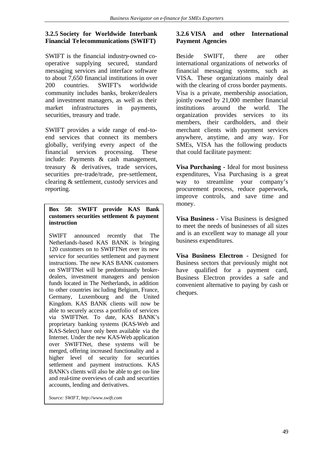# **3.2.5 Society for Worldwide Interbank Financial Telecommunications (SWIFT)**

SWIFT is the financial industry-owned cooperative supplying secured, standard messaging services and interface software to about 7,650 financial institutions in over 200 countries. SWIFT's worldwide community includes banks, broker/dealers and investment managers, as well as their market infrastructures in payments, securities, treasury and trade.

SWIFT provides a wide range of end-toend services that connect its members globally, verifying every aspect of the financial services processing. These include: Payments & cash management, treasury & derivatives, trade services, securities pre-trade/trade, pre-settlement, clearing & settlement, custody services and reporting.

#### **Box 50: SWIFT provide KAS Bank customers securities settlement & payment instruction**

SWIFT announced recently that The Netherlands-based KAS BANK is bringing 120 customers on to SWIFTNet over its new service for securities settlement and payment instructions. The new KAS BANK customers on SWIFTNet will be predominantly brokerdealers, investment managers and pension funds located in The Netherlands, in addition to other countries inc luding Belgium, France, Germany, Luxembourg and the United Kingdom. KAS BANK clients will now be able to securely access a portfolio of services via SWIFTNet. To date, KAS BANK's proprietary banking systems (KAS-Web and KAS-Select) have only been available via the Internet. Under the new KAS-Web application over SWIFTNet, these systems will be merged, offering increased functionality and a higher level of security for securities settlement and payment instructions. KAS BANK's clients will also be able to get on-line and real-time overviews of cash and securities accounts, lending and derivatives.

*Source: SWIFT, http://www.swift.com*

# **3.2.6 VISA and other International Payment Agencies**

Beside SWIFT, there are other international organizations of networks of financial messaging systems, such as VISA. These organizations mainly deal with the clearing of cross border payments. Visa is a private, membership association, jointly owned by 21,000 member financial institutions around the world. The organization provides services to its members, their cardholders, and their merchant clients with payment services anywhere, anytime, and any way. For SMEs, VISA has the following products that could facilitate payment:

**Visa Purchasing -** Ideal for most business expenditures, Visa Purchasing is a great way to streamline your company's procurement process, reduce paperwork, improve controls, and save time and money.

**Visa Business -** Visa Business is designed to meet the needs of businesses of all sizes and is an excellent way to manage all your business expenditures.

**Visa Business Electron -** Designed for Business sectors that previously might not have qualified for a payment card, Business Electron provides a safe and convenient alternative to paying by cash or cheques.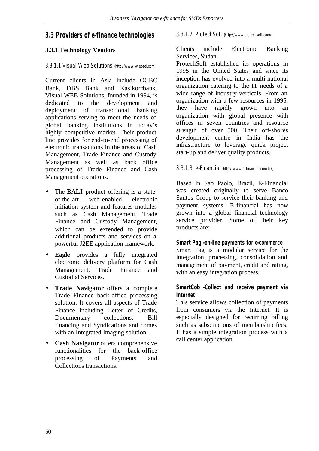# **3.3 Providers of e-finance technologies**

# **3.3.1 Technology Vendors**

# 3.3.1.1 Visual Web Solutions (http://www.vwebsol.com)

Current clients in Asia include OCBC Bank, DBS Bank and Kasikornbank. Visual WEB Solutions, founded in 1994, is dedicated to the development and deployment of transactional banking applications serving to meet the needs of global banking institutions in today's highly competitive market. Their product line provides for end-to-end processing of electronic transactions in the areas of Cash Management, Trade Finance and Custody Management as well as back office processing of Trade Finance and Cash Management operations.

- The **BALI** product offering is a stateof-the-art web-enabled electronic initiation system and features modules such as Cash Management, Trade Finance and Custody Management, which can be extended to provide additional products and services on a powerful J2EE application framework.
- **Eagle** provides a fully integrated electronic delivery platform for Cash Management, Trade Finance and Custodial Services.
- **Trade Navigator** offers a complete Trade Finance back-office processing solution. It covers all aspects of Trade Finance including Letter of Credits, Documentary collections, Bill financing and Syndications and comes with an Integrated Imaging solution.
- **Cash Navigator** offers comprehensive functionalities for the back-office processing of Payments and Collections transactions.

# 3.3.1.2 ProtechSoft (http://www.protechsoft.com/)

Clients include Electronic Banking Services, Sudan.

ProtechSoft established its operations in 1995 in the United States and since its inception has evolved into a multi-national organization catering to the IT needs of a wide range of industry verticals. From an organization with a few resources in 1995, they have rapidly grown into an organization with global presence with offices in seven countries and resource strength of over 500. Their off-shores development centre in India has the infrastructure to leverage quick project start-up and deliver quality products.

# 3.3.1.3 e-Financial (http://www.e-financial.com.br/)

Based in Sao Paolo, Brazil, E-Financial was created originally to serve Banco Santos Group to service their banking and payment systems. E-financial has now grown into a global financial technology service provider. Some of their key products are:

#### **Smart Pag -on-line payments for e-commerce**

Smart Pag is a modular service for the integration, processing, consolidation and management of payment, credit and rating, with an easy integration process.

# **SmartCob -Collect and receive payment via Internet**

This service allows collection of payments from consumers via the Internet. It is especially designed for recurring billing such as subscriptions of membership fees. It has a simple integration process with a call center application.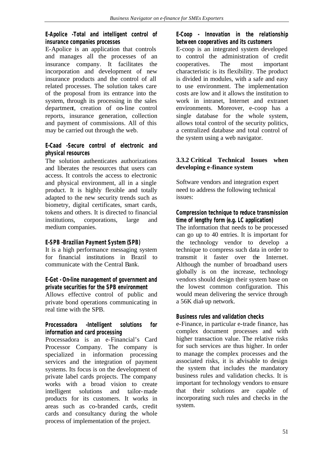# **E-Apolice -Total and intelligent control of insurance companies processes**

E-Apolice is an application that controls and manages all the processes of an insurance company. It facilitates the incorporation and development of new insurance products and the control of all related processes. The solution takes care of the proposal from its entrance into the system, through its processing in the sales department, creation of on-line control reports, insurance generation, collection and payment of commissions. All of this may be carried out through the web.

# **E-Caad -Secure control of electronic and physical resources**

The solution authenticates authorizations and liberates the resources that users can access. It controls the access to electronic and physical environment, all in a single product. It is highly flexible and totally adapted to the new security trends such as biometry, digital certificates, smart cards, tokens and others. It is directed to financial institutions, corporations, large and medium companies.

# **E-SPB -Brazilian Payment System (SPB)**

It is a high performance messaging system for financial institutions in Brazil to communicate with the Central Bank.

# **E-Get - On-line management of government and private securities for the SPB environment**

Allows effective control of public and private bond operations communicating in real time with the SPB.

# **Processadora -Intelligent solutions for information and card processing**

Processadora is an e-Financial's Card Processor Company. The company is specialized in information processing services and the integration of payment systems. Its focus is on the development of private label cards projects. The company works with a broad vision to create intelligent solutions and tailor-made products for its customers. It works in areas such as co-branded cards, credit cards and consultancy during the whole process of implementation of the project.

# **E-Coop - Innovation in the relationship between cooperatives and its customers**

E-coop is an integrated system developed to control the administration of credit cooperatives. The most important characteristic is its flexibility. The product is divided in modules, with a safe and easy to use environment. The implementation costs are low and it allows the institution to work in intranet, Internet and extranet environments. Moreover, e-coop has a single database for the whole system, allows total control of the security politics, a centralized database and total control of the system using a web navigator.

# **3.3.2 Critical Technical Issues when developing e-finance system**

Software vendors and integration expert need to address the following technical issues:

**Compression technique to reduce transmission time of lengthy form (e.g. LC application)** The information that needs to be processed can go up to 40 entries. It is important for the technology vendor to develop a technique to compress such data in order to transmit it faster over the Internet. Although the number of broadband users globally is on the increase, technology vendors should design their system base on the lowest common configuration. This would mean delivering the service through a 56K dial-up network.

# **Business rules and validation checks**

e-Finance, in particular e-trade finance, has complex document processes and with higher transaction value. The relative risks for such services are thus higher. In order to manage the complex processes and the associated risks, it is advisable to design the system that includes the mandatory business rules and validation checks. It is important for technology vendors to ensure that their solutions are capable of incorporating such rules and checks in the system.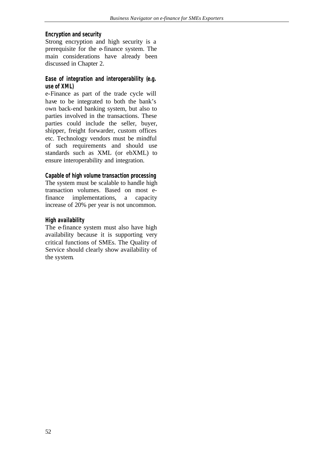#### **Encryption and security**

Strong encryption and high security is a prerequisite for the e-finance system. The main considerations have already been discussed in Chapter 2.

#### **Ease of integration and interoperability (e.g. use of XML)**

e-Finance as part of the trade cycle will have to be integrated to both the bank's own back-end banking system, but also to parties involved in the transactions. These parties could include the seller, buyer, shipper, freight forwarder, custom offices etc. Technology vendors must be mindful of such requirements and should use standards such as XML (or ebXML) to ensure interoperability and integration.

#### **Capable of high volume transaction processing**

The system must be scalable to handle high transaction volumes. Based on most efinance implementations, a capacity increase of 20% per year is not uncommon.

# **High availability**

The e-finance system must also have high availability because it is supporting very critical functions of SMEs. The Quality of Service should clearly show availability of the system.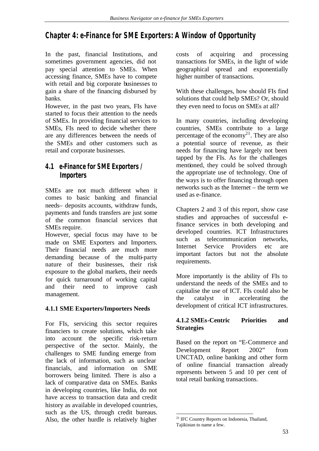# **Chapter 4: e-Finance for SME Exporters: A Window of Opportunity**

In the past, financial Institutions, and sometimes government agencies, did not pay special attention to SMEs. When accessing finance, SMEs have to compete with retail and big corporate businesses to gain a share of the financing disbursed by banks.

However, in the past two years, FIs have started to focus their attention to the needs of SMEs. In providing financial services to SMEs, FIs need to decide whether there are any differences between the needs of the SMEs and other customers such as retail and corporate businesses.

# **4.1 e-Finance for SME Exporters / Importers**

SMEs are not much different when it comes to basic banking and financial needs– deposits accounts, withdraw funds, payments and funds transfers are just some of the common financial services that SMEs require.

However, special focus may have to be made on SME Exporters and Importers. Their financial needs are much more demanding because of the multi-party nature of their businesses, their risk exposure to the global markets, their needs for quick turnaround of working capital and their need to improve cash management.

# **4.1.1 SME Exporters/Importers Needs**

For FIs, servicing this sector requires financiers to create solutions, which take into account the specific risk-return perspective of the sector. Mainly, the challenges to SME funding emerge from the lack of information, such as unclear financials, and information on SME borrowers being limited. There is also a lack of comparative data on SMEs. Banks in developing countries, like India, do not have access to transaction data and credit history as available in developed countries, such as the US, through credit bureaus. Also, the other hurdle is relatively higher

costs of acquiring and processing transactions for SMEs, in the light of wide geographical spread and exponentially higher number of transactions.

With these challenges, how should FIs find solutions that could help SMEs? Or, should they even need to focus on SMEs at all?

In many countries, including developing countries, SMEs contribute to a large percentage of the economy<sup>21</sup>. They are also a potential source of revenue, as their needs for financing have largely not been tapped by the FIs. As for the challenges mentioned, they could be solved through the appropriate use of technology. One of the ways is to offer financing through open networks such as the Internet – the term we used as e-finance.

Chapters 2 and 3 of this report, show case studies and approaches of successful efinance services in both developing and developed countries. ICT Infrastructures such as telecommunication networks, Internet Service Providers etc are important factors but not the absolute requirements.

More importantly is the ability of FIs to understand the needs of the SMEs and to capitalise the use of ICT. FIs could also be the catalyst in accelerating the development of critical ICT infrastructures.

# **4.1.2 SMEs-Centric Priorities and Strategies**

Based on the report on "E-Commerce and Development Report 2002" from UNCTAD, online banking and other form of online financial transaction already represents between 5 and 10 per cent of total retail banking transactions.

l <sup>21</sup> IFC Country Reports on Indonesia, Thailand, Tajikistan to name a few.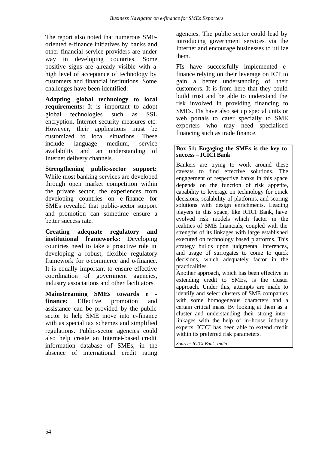The report also noted that numerous SMEoriented e-finance initiatives by banks and other financial service providers are under way in developing countries. Some positive signs are already visible with a high level of acceptance of technology by customers and financial institutions. Some challenges have been identified:

**Adapting global technology to local requirements:** It is important to adopt global technologies such as SSL encryption, Internet security measures etc. However, their applications must be customized to local situations. These include language medium, service availability and an understanding of Internet delivery channels.

**Strengthening public-sector support:** While most banking services are developed through open market competition within the private sector, the experiences from developing countries on e-finance for SMEs revealed that public-sector support and promotion can sometime ensure a better success rate.

**Creating adequate regulatory and institutional frameworks:** Developing countries need to take a proactive role in developing a robust, flexible regulatory framework for e-commerce and e-finance. It is equally important to ensure effective coordination of government agencies, industry associations and other facilitators.

**Mainstreaming SMEs towards e finance:** Effective promotion and assistance can be provided by the public sector to help SME move into e-finance with as special tax schemes and simplified regulations. Public-sector agencies could also help create an Internet-based credit information database of SMEs, in the absence of international credit rating agencies. The public sector could lead by introducing government services via the Internet and encourage businesses to utilize them.

FIs have successfully implemented efinance relying on their leverage on ICT to gain a better understanding of their customers. It is from here that they could build trust and be able to understand the risk involved in providing financing to SMEs. FIs have also set up special units or web portals to cater specially to SME exporters who may need specialised financing such as trade finance.

#### **Box 51: Engaging the SMEs is the key to success – ICICI Bank**

Bankers are trying to work around these caveats to find effective solutions. The engagement of respective banks in this space depends on the function of risk appetite, capability to leverage on technology for quick decisions, scalability of platforms, and scoring solutions with design enrichments. Leading players in this space, like ICICI Bank, have evolved risk models which factor in the realities of SME financials, coupled with the strengths of its linkages with large established executed on technology based platforms. This strategy builds upon judgmental inferences, and usage of surrogates to come to quick decisions, which adequately factor in the practicalities.

Another approach, which has been effective in extending credit to SMEs, is the cluster approach. Under this, attempts are made to identify and select clusters of SME companies with some homogeneous characters and a certain critical mass. By looking at them as a cluster and understanding their strong interlinkages with the help of in-house industry experts, ICICI has been able to extend credit within its preferred risk parameters.

*Source: ICICI Bank, India*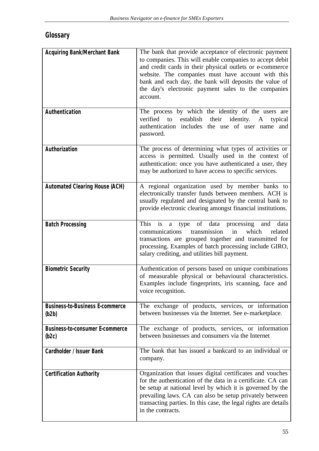# **Glossary**

| <b>Acquiring Bank/Merchant Bank</b>             | The bank that provide acceptance of electronic payment<br>to companies. This will enable companies to accept debit<br>and credit cards in their physical outlets or e-commerce<br>website. The companies must have account with this<br>bank and each day, the bank will deposits the value of<br>the day's electronic payment sales to the companies<br>account. |
|-------------------------------------------------|-------------------------------------------------------------------------------------------------------------------------------------------------------------------------------------------------------------------------------------------------------------------------------------------------------------------------------------------------------------------|
| Authentication                                  | The process by which the identity of the users are<br>verified<br>establish<br>their<br>identity.<br>to<br>typical<br>A<br>authentication includes the use of user name and<br>password.                                                                                                                                                                          |
| Authorization                                   | The process of determining what types of activities or<br>access is permitted. Usually used in the context of<br>authentication: once you have authenticated a user, they<br>may be authorized to have access to specific services.                                                                                                                               |
| <b>Automated Clearing House (ACH)</b>           | A regional organization used by member banks to<br>electronically transfer funds between members. ACH is<br>usually regulated and designated by the central bank to<br>provide electronic clearing amongst financial institutions.                                                                                                                                |
| <b>Batch Processing</b>                         | This<br>of data processing<br>data<br><i>is</i><br>type<br>and<br>a<br>which<br>related<br>communications<br>transmission<br>in<br>transactions are grouped together and transmitted for<br>processing. Examples of batch processing include GIRO,<br>salary crediting, and utilities bill payment.                                                               |
| <b>Biometric Security</b>                       | Authentication of persons based on unique combinations<br>of measurable physical or behavioural characteristics.<br>Examples include fingerprints, iris scanning, face and<br>voice recognition.                                                                                                                                                                  |
| <b>Business-to-Business E-commerce</b><br>(b2b) | The exchange of products, services, or information<br>between businesses via the Internet. See e-marketplace.                                                                                                                                                                                                                                                     |
| <b>Business-to-consumer E-commerce</b><br>(b2c) | The exchange of products, services, or information<br>between businesses and consumers via the Internet                                                                                                                                                                                                                                                           |
| Cardholder / Issuer Bank                        | The bank that has issued a bankcard to an individual or<br>company.                                                                                                                                                                                                                                                                                               |
| <b>Certification Authority</b>                  | Organization that issues digital certificates and vouches<br>for the authentication of the data in a certificate. CA can<br>be setup at national level by which it is governed by the<br>prevailing laws. CA can also be setup privately between<br>transacting parties. In this case, the legal rights are details<br>in the contracts.                          |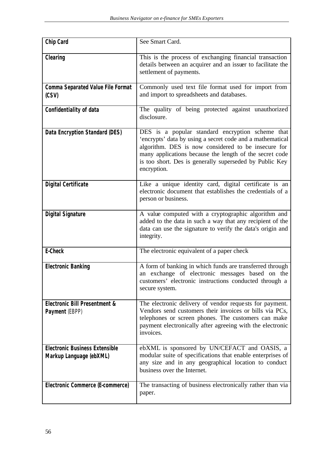| Chip Card                                                        | See Smart Card.                                                                                                                                                                                                                                                                                           |
|------------------------------------------------------------------|-----------------------------------------------------------------------------------------------------------------------------------------------------------------------------------------------------------------------------------------------------------------------------------------------------------|
| Clearing                                                         | This is the process of exchanging financial transaction<br>details between an acquirer and an issuer to facilitate the<br>settlement of payments.                                                                                                                                                         |
| <b>Comma Separated Value File Format</b><br>(CSV)                | Commonly used text file format used for import from<br>and import to spreadsheets and databases.                                                                                                                                                                                                          |
| Confidentiality of data                                          | The quality of being protected against unauthorized<br>disclosure.                                                                                                                                                                                                                                        |
| Data Encryption Standard (DES)                                   | DES is a popular standard encryption scheme that<br>'encrypts' data by using a secret code and a mathematical<br>algorithm. DES is now considered to be insecure for<br>many applications because the length of the secret code<br>is too short. Des is generally superseded by Public Key<br>encryption. |
| <b>Digital Certificate</b>                                       | Like a unique identity card, digital certificate is an<br>electronic document that establishes the credentials of a<br>person or business.                                                                                                                                                                |
| <b>Digital Signature</b>                                         | A value computed with a cryptographic algorithm and<br>added to the data in such a way that any recipient of the<br>data can use the signature to verify the data's origin and<br>integrity.                                                                                                              |
| E-Check                                                          | The electronic equivalent of a paper check                                                                                                                                                                                                                                                                |
| <b>Electronic Banking</b>                                        | A form of banking in which funds are transferred through<br>an exchange of electronic messages based on the<br>customers' electronic instructions conducted through a<br>secure system.                                                                                                                   |
| <b>Electronic Bill Presentment &amp;</b><br>Payment (EBPP)       | The electronic delivery of vendor requests for payment.<br>Vendors send customers their invoices or bills via PCs,<br>telephones or screen phones. The customers can make<br>payment electronically after agreeing with the electronic<br>invoices.                                                       |
| <b>Electronic Business Extensible</b><br>Markup Language (ebXML) | ebXML is sponsored by UN/CEFACT and OASIS, a<br>modular suite of specifications that enable enterprises of<br>any size and in any geographical location to conduct<br>business over the Internet.                                                                                                         |
| Electronic Commerce (E-commerce)                                 | The transacting of business electronically rather than via<br>paper.                                                                                                                                                                                                                                      |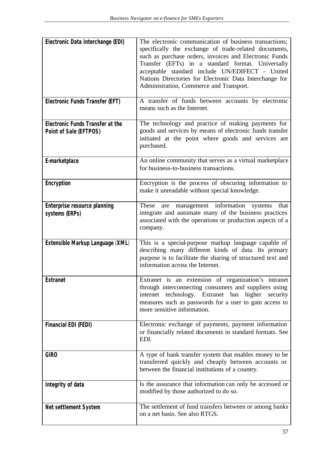| Electronic Data Interchange (EDI)                                 | The electronic communication of business transactions;<br>specifically the exchange of trade-related documents,<br>such as purchase orders, invoices and Electronic Funds<br>Transfer (EFTs) in a standard format. Universally<br>acceptable standard include UN/EDIFECT - United<br>Nations Directories for Electronic Data Interchange for<br>Administration, Commerce and Transport. |
|-------------------------------------------------------------------|-----------------------------------------------------------------------------------------------------------------------------------------------------------------------------------------------------------------------------------------------------------------------------------------------------------------------------------------------------------------------------------------|
| Electronic Funds Transfer (EFT)                                   | A transfer of funds between accounts by electronic<br>means such as the Internet.                                                                                                                                                                                                                                                                                                       |
| <b>Electronic Funds Transfer at the</b><br>Point of Sale (EFTPOS) | The technology and practice of making payments for<br>goods and services by means of electronic funds transfer<br>initiated at the point where goods and services are<br>purchased.                                                                                                                                                                                                     |
| E-marketplace                                                     | An online community that serves as a virtual marketplace<br>for business-to-business transactions.                                                                                                                                                                                                                                                                                      |
| Encryption                                                        | Encryption is the process of obscuring information to<br>make it unreadable without special knowledge.                                                                                                                                                                                                                                                                                  |
| Enterprise resource planning<br>systems (ERPs)                    | are management information systems<br>These<br>that<br>integrate and automate many of the business practices<br>associated with the operations or production aspects of a<br>company.                                                                                                                                                                                                   |
| Extensible Markup Language (XML)                                  | This is a special-purpose markup language capable of<br>describing many different kinds of data. Its primary<br>purpose is to facilitate the sharing of structured text and<br>information across the Internet.                                                                                                                                                                         |
| <b>Extranet</b>                                                   | Extranet is an extension of organization's intranet<br>through interconnecting consumers and suppliers using<br>internet technology. Extranet has higher<br>security<br>measures such as passwords for a user to gain access to<br>more sensitive information.                                                                                                                          |
| <b>Financial EDI (FEDI)</b>                                       | Electronic exchange of payments, payment information<br>or financially related documents in standard formats. See<br>EDI.                                                                                                                                                                                                                                                               |
| <b>GIRO</b>                                                       | A type of bank transfer system that enables money to be<br>transferred quickly and cheaply between accounts or<br>between the financial institutions of a country.                                                                                                                                                                                                                      |
| Integrity of data                                                 | Is the assurance that information can only be accessed or<br>modified by those authorized to do so.                                                                                                                                                                                                                                                                                     |
| <b>Net settlement System</b>                                      | The settlement of fund transfers between or among banks<br>on a net basis. See also RTGS.                                                                                                                                                                                                                                                                                               |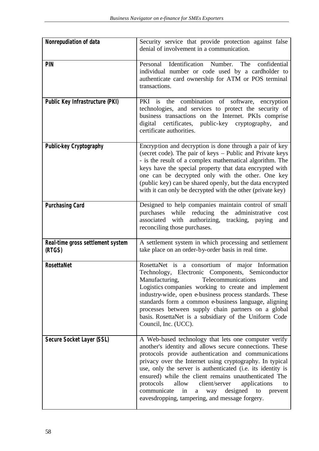| Nonrepudiation of data                      | Security service that provide protection against false<br>denial of involvement in a communication.                                                                                                                                                                                                                                                                                                                                                                                                                                  |
|---------------------------------------------|--------------------------------------------------------------------------------------------------------------------------------------------------------------------------------------------------------------------------------------------------------------------------------------------------------------------------------------------------------------------------------------------------------------------------------------------------------------------------------------------------------------------------------------|
| <b>PIN</b>                                  | Identification<br>Number.<br>The<br>confidential<br>Personal<br>individual number or code used by a cardholder to<br>authenticate card ownership for ATM or POS terminal<br>transactions.                                                                                                                                                                                                                                                                                                                                            |
| Public Key Infrastructure (PKI)             | the combination of software,<br>PKI is<br>encryption<br>technologies, and services to protect the security of<br>business transactions on the Internet. PKIs comprise<br>digital certificates, public-key cryptography,<br>and<br>certificate authorities.                                                                                                                                                                                                                                                                           |
| Public-key Cryptography                     | Encryption and decryption is done through a pair of key<br>(secret code). The pair of keys – Public and Private keys<br>- is the result of a complex mathematical algorithm. The<br>keys have the special property that data encrypted with<br>one can be decrypted only with the other. One key<br>(public key) can be shared openly, but the data encrypted<br>with it can only be decrypted with the other (private key)                                                                                                          |
| <b>Purchasing Card</b>                      | Designed to help companies maintain control of small<br>purchases while reducing the<br>administrative<br>cost<br>associated with authorizing, tracking, paying<br>and<br>reconciling those purchases.                                                                                                                                                                                                                                                                                                                               |
| Real-time gross settlement system<br>(RTGS) | A settlement system in which processing and settlement<br>take place on an order-by-order basis in real time.                                                                                                                                                                                                                                                                                                                                                                                                                        |
| <b>RosettaNet</b>                           | RosettaNet is a consortium of major Information<br>Technology, Electronic Components, Semiconductor<br>Manufacturing,<br>Telecommunications<br>and<br>Logistics companies working to create and implement<br>industry-wide, open e-business process standards. These<br>standards form a common e-business language, aligning<br>processes between supply chain partners on a global<br>basis. RosettaNet is a subsidiary of the Uniform Code<br>Council, Inc. (UCC).                                                                |
| Secure Socket Layer (SSL)                   | A Web-based technology that lets one computer verify<br>another's identity and allows secure connections. These<br>protocols provide authentication and communications<br>privacy over the Internet using cryptography. In typical<br>use, only the server is authenticated (i.e. its identity is<br>ensured) while the client remains unauthenticated The<br>client/server<br>allow<br>protocols<br>applications<br>to<br>communicate<br>in<br>way designed<br>to<br>prevent<br>a<br>eavesdropping, tampering, and message forgery. |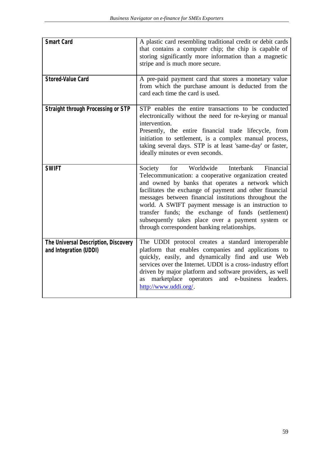| <b>Smart Card</b>                                              | A plastic card resembling traditional credit or debit cards<br>that contains a computer chip; the chip is capable of<br>storing significantly more information than a magnetic<br>stripe and is much more secure.                                                                                                                                                                                                                                                                                         |
|----------------------------------------------------------------|-----------------------------------------------------------------------------------------------------------------------------------------------------------------------------------------------------------------------------------------------------------------------------------------------------------------------------------------------------------------------------------------------------------------------------------------------------------------------------------------------------------|
| <b>Stored-Value Card</b>                                       | A pre-paid payment card that stores a monetary value<br>from which the purchase amount is deducted from the<br>card each time the card is used.                                                                                                                                                                                                                                                                                                                                                           |
| <b>Straight through Processing or STP</b>                      | STP enables the entire transactions to be conducted<br>electronically without the need for re-keying or manual<br>intervention.<br>Presently, the entire financial trade lifecycle, from<br>initiation to settlement, is a complex manual process,<br>taking several days. STP is at least 'same-day' or faster,<br>ideally minutes or even seconds.                                                                                                                                                      |
| <b>SWIFT</b>                                                   | Interbank<br>Worldwide<br>for<br>Financial<br>Society<br>Telecommunication: a cooperative organization created<br>and owned by banks that operates a network which<br>facilitates the exchange of payment and other financial<br>messages between financial institutions throughout the<br>world. A SWIFT payment message is an instruction to<br>transfer funds; the exchange of funds (settlement)<br>subsequently takes place over a payment system or<br>through correspondent banking relationships. |
| The Universal Description, Discovery<br>and Integration (UDDI) | The UDDI protocol creates a standard interoperable<br>platform that enables companies and applications to<br>quickly, easily, and dynamically find and use Web<br>services over the Internet. UDDI is a cross-industry effort<br>driven by major platform and software providers, as well<br>marketplace operators and e-business leaders.<br>as<br>http://www.uddi.org/.                                                                                                                                 |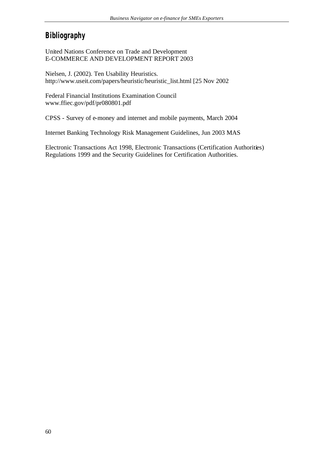# **Bibliography**

United Nations Conference on Trade and Development E-COMMERCE AND DEVELOPMENT REPORT 2003

Nielsen, J. (2002). Ten Usability Heuristics. http://www.useit.com/papers/heuristic/heuristic\_list.html [25 Nov 2002

Federal Financial Institutions Examination Council www.ffiec.gov/pdf/pr080801.pdf

CPSS - Survey of e-money and internet and mobile payments, March 2004

Internet Banking Technology Risk Management Guidelines, Jun 2003 MAS

Electronic Transactions Act 1998, Electronic Transactions (Certification Authorities) Regulations 1999 and the Security Guidelines for Certification Authorities.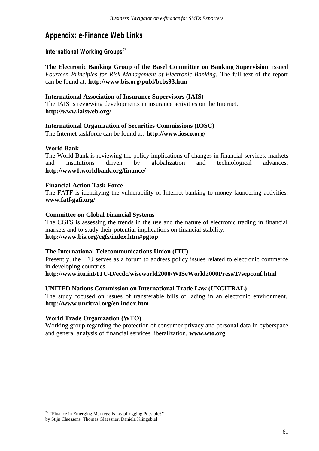# **Appendix: e-Finance Web Links**

# **International Working Groups**<sup>22</sup>

**The Electronic Banking Group of the Basel Committee on Banking Supervision** issued *Fourteen Principles for Risk Management of Electronic Banking.* The full text of the report can be found at: **http://www.bis.org/publ/bcbs93.htm**

#### **International Association of Insurance Supervisors (IAIS)**

The IAIS is reviewing developments in insurance activities on the Internet. **http://www.iaisweb.org/**

# **International Organization of Securities Commissions (IOSC)**

The Internet taskforce can be found at: **http://www.iosco.org/**

# **World Bank**

The World Bank is reviewing the policy implications of changes in financial services, markets and institutions driven by globalization and technological advances. **http://www1.worldbank.org/finance/**

#### **Financial Action Task Force**

The FATF is identifying the vulnerability of Internet banking to money laundering activities. **www.fatf-gafi.org/**

#### **Committee on Global Financial Systems**

The CGFS is assessing the trends in the use and the nature of electronic trading in financial markets and to study their potential implications on financial stability. **http://www.bis.org/cgfs/index.htm#pgtop**

#### **The International Telecommunications Union (ITU)**

Presently, the ITU serves as a forum to address policy issues related to electronic commerce in developing countries**.**

**http://www.itu.int/ITU-D/ecdc/wiseworld2000/WISeWorld2000Press/17sepconf.html**

#### **UNITED Nations Commission on International Trade Law (UNCITRAL)**

The study focused on issues of transferable bills of lading in an electronic environment. **http://www.uncitral.org/en-index.htm**

#### **World Trade Organization (WTO)**

Working group regarding the protection of consumer privacy and personal data in cyberspace and general analysis of financial services liberalization. **www.wto.org**

l  $22$  "Finance in Emerging Markets: Is Leapfrogging Possible?"

by Stijn Claessens, Thomas Glaessner, Daniela Klingebiel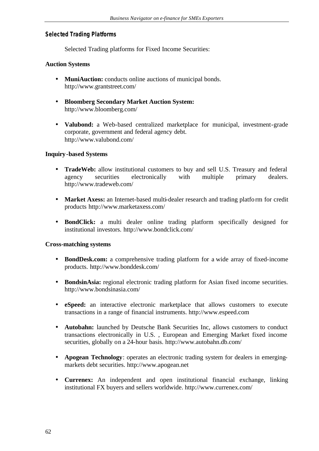#### **Selected Trading Platforms**

Selected Trading platforms for Fixed Income Securities:

# **Auction Systems**

- **MuniAuction:** conducts online auctions of municipal bonds. http://www.grantstreet.com/
- **Bloomberg Secondary Market Auction System:** http://www.bloomberg.com/
- **Valubond:** a Web-based centralized marketplace for municipal, investment-grade corporate, government and federal agency debt. http://www.valubond.com/

# **Inquiry-based Systems**

- **TradeWeb:** allow institutional customers to buy and sell U.S. Treasury and federal agency securities electronically with multiple primary dealers. http://www.tradeweb.com/
- **Market Axess:** an Internet-based multi-dealer research and trading platform for credit products http://www.marketaxess.com/
- **BondClick:** a multi dealer online trading platform specifically designed for institutional investors. http://www.bondclick.com/

#### **Cross-matching systems**

- **BondDesk.com:** a comprehensive trading platform for a wide array of fixed-income products. http://www.bonddesk.com/
- **BondsinAsia:** regional electronic trading platform for Asian fixed income securities. http://www.bondsinasia.com/
- **eSpeed:** an interactive electronic marketplace that allows customers to execute transactions in a range of financial instruments. http://www.espeed.com
- **Autobahn:** launched by Deutsche Bank Securities Inc, allows customers to conduct transactions electronically in U.S. , European and Emerging Market fixed income securities, globally on a 24-hour basis. http://www.autobahn.db.com/
- **Apogean Technology**: operates an electronic trading system for dealers in emergingmarkets debt securities. http://www.apogean.net
- **Currenex:** An independent and open institutional financial exchange, linking institutional FX buyers and sellers worldwide. http://www.currenex.com/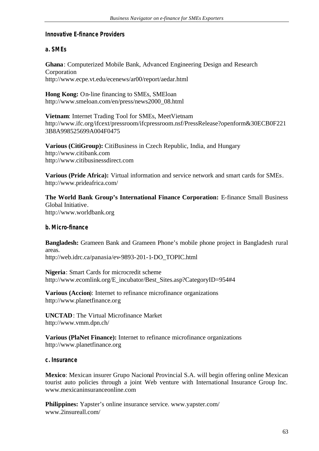# **Innovative E-finance Providers**

# **a. SMEs**

**Ghana**: Computerized Mobile Bank, Advanced Engineering Design and Research Corporation http://www.ecpe.vt.edu/ecenews/ar00/report/aedar.html

**Hong Kong:** On-line financing to SMEs, SMEloan http://www.smeloan.com/en/press/news2000\_08.html

**Vietnam**: Internet Trading Tool for SMEs, MeetVietnam http://www.ifc.org/ifcext/pressroom/ifcpressroom.nsf/PressRelease?openform&30ECB0F221 3B8A998525699A004F0475

**Various (CitiGroup):** CitiBusiness in Czech Republic, India, and Hungary http://www.citibank.com http://www.citibusinessdirect.com

**Various (Pride Africa):** Virtual information and service network and smart cards for SMEs. http://www.prideafrica.com/

**The World Bank Group's International Finance Corporation:** E-finance Small Business Global Initiative. http://www.worldbank.org

# **b. Micro-finance**

**Bangladesh:** Grameen Bank and Grameen Phone's mobile phone project in Bangladesh rural areas. http://web.idrc.ca/panasia/ev-9893-201-1-DO\_TOPIC.html

**Nigeria**: Smart Cards for microcredit scheme http://www.ecomlink.org/E\_incubator/Best\_Sites.asp?CategoryID=954#4

**Various (Accion**): Internet to refinance microfinance organizations http://www.planetfinance.org

**UNCTAD**: The Virtual Microfinance Market http://www.vmm.dpn.ch/

**Various (PlaNet Finance):** Internet to refinance microfinance organizations http://www.planetfinance.org

#### **c. Insurance**

**Mexico**: Mexican insurer Grupo Nacional Provincial S.A. will begin offering online Mexican tourist auto policies through a joint Web venture with International Insurance Group Inc. www.mexicaninsuranceonline.com

**Philippines:** Yapster's online insurance service. www.yapster.com/ www.2insureall.com/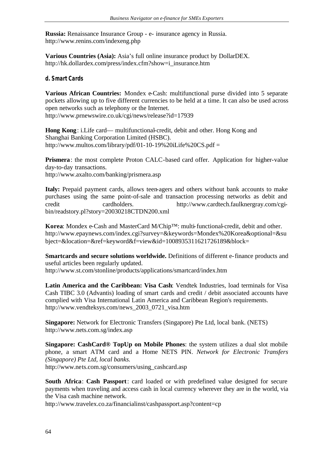**Russia:** Renaissance Insurance Group - e- insurance agency in Russia. http://www.renins.com/indexeng.php

**Various Countries (Asia):** Asia's full online insurance product by DollarDEX. http://hk.dollardex.com/press/index.cfm?show=i\_insurance.htm

#### **d. Smart Cards**

**Various African Countries:** Mondex e-Cash: multifunctional purse divided into 5 separate pockets allowing up to five different currencies to be held at a time. It can also be used across open networks such as telephony or the Internet. http://www.prnewswire.co.uk/cgi/news/release?id=17939

**Hong Kong**: i.Life card— multifunctional-credit, debit and other. Hong Kong and Shanghai Banking Corporation Limited (HSBC). http://www.multos.com/library/pdf/01-10-19%20iLife%20CS.pdf =

**Prismera**: the most complete Proton CALC-based card offer. Application for higher-value day-to-day transactions. http://www.axalto.com/banking/prismera.asp

**Italy:** Prepaid payment cards, allows teen-agers and others without bank accounts to make purchases using the same point-of-sale and transaction processing networks as debit and credit cardholders. http://www.cardtech.faulknergray.com/cgibin/readstory.pl?story=20030218CTDN200.xml

**Korea**: Mondex e-Cash and MasterCard M/Chip™: multi-functional-credit, debit and other. http://www.epaynews.com/index.cgi?survey=&keywords=Mondex%20Korea&optional=&su bject=&location=&ref=keyword&f=view&id=1008935311621726189&block=

**Smartcards and secure solutions worldwide.** Definitions of different e-finance products and useful articles been regularly updated. http://www.st.com/stonline/products/applications/smartcard/index.htm

**Latin America and the Caribbean: Visa Cash**: Vendtek Industries, load terminals for Visa Cash TIBC 3.0 (Advantis) loading of smart cards and credit / debit associated accounts have complied with Visa International Latin America and Caribbean Region's requirements. http://www.vendteksys.com/news\_2003\_0721\_visa.htm

**Singapore:** Network for Electronic Transfers (Singapore) Pte Ltd, local bank. (NETS) http://www.nets.com.sg/index.asp

**Singapore: CashCard® TopUp on Mobile Phones**: the system utilizes a dual slot mobile phone, a smart ATM card and a Home NETS PIN. *Network for Electronic Transfers (Singapore) Pte Ltd, local banks.*

http://www.nets.com.sg/consumers/using\_cashcard.asp

**South Africa**: **Cash Passport**: card loaded or with predefined value designed for secure payments when traveling and access cash in local currency wherever they are in the world, via the Visa cash machine network.

http://www.travelex.co.za/financialinst/cashpassport.asp?content=cp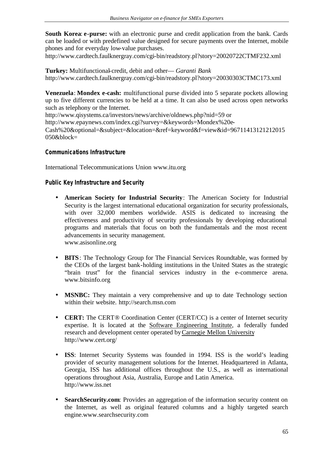**South Korea**: **e-purse:** with an electronic purse and credit application from the bank. Cards can be loaded or with predefined value designed for secure payments over the Internet, mobile phones and for everyday low-value purchases.

http://www.cardtech.faulknergray.com/cgi-bin/readstory.pl?story=20020722CTMF232.xml

**Turkey:** Multifunctional-credit, debit and other— *Garanti Bank* http://www.cardtech.faulknergray.com/cgi-bin/readstory.pl?story=20030303CTMC173.xml

**Venezuela**: **Mondex e-cash:** multifunctional purse divided into 5 separate pockets allowing up to five different currencies to be held at a time. It can also be used across open networks such as telephony or the Internet.

http://www.qisystems.ca/investors/news/archive/oldnews.php?nid=59 or

http://www.epaynews.com/index.cgi?survey=&keywords=Mondex%20e-

Cash%20&optional=&subject=&location=&ref=keyword&f=view&id=96711413121212015  $050$ &block=

#### **Communications Infrastructure**

International Telecommunications Union www.itu.org

#### **Public Key Infrastructure and Security**

- **American Society for Industrial Security**: The American Society for Industrial Security is the largest international educational organization for security professionals, with over 32,000 members worldwide. ASIS is dedicated to increasing the effectiveness and productivity of security professionals by developing educational programs and materials that focus on both the fundamentals and the most recent advancements in security management. www.asisonline.org
- **BITS**: The Technology Group for The Financial Services Roundtable, was formed by the CEOs of the largest bank-holding institutions in the United States as the strategic "brain trust" for the financial services industry in the e-commerce arena. www.bitsinfo.org
- **MSNBC:** They maintain a very comprehensive and up to date Technology section within their website. http://search.msn.com
- **CERT:** The CERT® Coordination Center (CERT/CC) is a center of Internet security expertise. It is located at the Software Engineering Institute, a federally funded research and development center operated byCarnegie Mellon University http://www.cert.org/
- **ISS**: Internet Security Systems was founded in 1994. ISS is the world's leading provider of security management solutions for the Internet. Headquartered in Atlanta, Georgia, ISS has additional offices throughout the U.S., as well as international operations throughout Asia, Australia, Europe and Latin America. http://www.iss.net
- **SearchSecurity.com**: Provides an aggregation of the information security content on the Internet, as well as original featured columns and a highly targeted search engine.www.searchsecurity.com